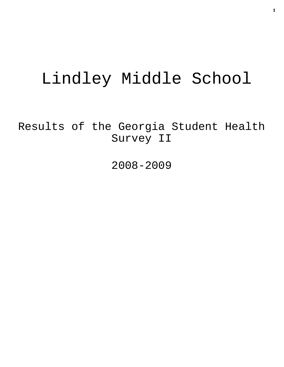# Lindley Middle School

Results of the Georgia Student Health Survey II

2008-2009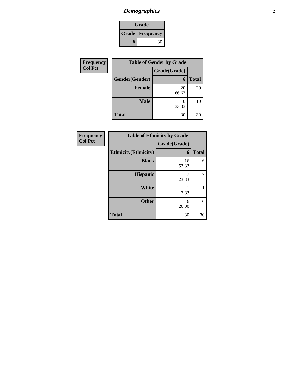# *Demographics* **2**

| Grade                    |    |
|--------------------------|----|
| <b>Grade   Frequency</b> |    |
| ħ                        | 30 |

| Frequency      | <b>Table of Gender by Grade</b> |              |              |
|----------------|---------------------------------|--------------|--------------|
| <b>Col Pct</b> |                                 | Grade(Grade) |              |
|                | Gender(Gender)                  | 6            | <b>Total</b> |
|                | <b>Female</b>                   | 20<br>66.67  | 20           |
|                | <b>Male</b>                     | 10<br>33.33  | 10           |
|                | <b>Total</b>                    | 30           | 30           |

| <b>Frequency</b> |  |
|------------------|--|
| <b>Col Pct</b>   |  |

| <b>Table of Ethnicity by Grade</b> |              |              |
|------------------------------------|--------------|--------------|
|                                    | Grade(Grade) |              |
| <b>Ethnicity</b> (Ethnicity)       | 6            | <b>Total</b> |
| <b>Black</b>                       | 16<br>53.33  | 16           |
| <b>Hispanic</b>                    | 23.33        |              |
| White                              | 3.33         |              |
| <b>Other</b>                       | 6<br>20.00   | 6            |
| <b>Total</b>                       | 30           | 30           |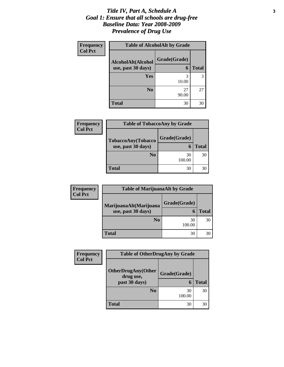#### *Title IV, Part A, Schedule A* **3** *Goal 1: Ensure that all schools are drug-free Baseline Data: Year 2008-2009 Prevalence of Drug Use*

Г

| <b>Frequency</b> | <b>Table of AlcoholAlt by Grade</b>      |                   |              |
|------------------|------------------------------------------|-------------------|--------------|
| <b>Col Pct</b>   | AlcoholAlt(Alcohol<br>use, past 30 days) | Grade(Grade)<br>6 | <b>Total</b> |
|                  | Yes                                      | 3<br>10.00        |              |
|                  | N <sub>0</sub>                           | 27<br>90.00       | 27           |
|                  | Total                                    | 30                | 30           |

| <b>Frequency</b> | <b>Table of TobaccoAny by Grade</b> |              |              |
|------------------|-------------------------------------|--------------|--------------|
| <b>Col Pct</b>   | TobaccoAny(Tobacco                  | Grade(Grade) |              |
|                  | use, past 30 days)                  | 6            | <b>Total</b> |
|                  | N <sub>0</sub>                      | 30<br>100.00 | 30           |
|                  | <b>Total</b>                        | 30           | 30           |

| <b>Frequency</b> | <b>Table of MarijuanaAlt by Grade</b> |              |              |
|------------------|---------------------------------------|--------------|--------------|
| <b>Col Pct</b>   | MarijuanaAlt(Marijuana                | Grade(Grade) |              |
|                  | use, past 30 days)                    |              | <b>Total</b> |
|                  | N <sub>0</sub>                        | 30<br>100.00 | 30           |
|                  | <b>Total</b>                          | 30           | 30           |

| <b>Frequency</b> | <b>Table of OtherDrugAny by Grade</b> |              |              |
|------------------|---------------------------------------|--------------|--------------|
| <b>Col Pct</b>   | <b>OtherDrugAny(Other</b>             | Grade(Grade) |              |
|                  | drug use,<br>past 30 days)            | 6            | <b>Total</b> |
|                  | N <sub>0</sub>                        | 30<br>100.00 | 30           |
|                  | <b>Total</b>                          | 30           | 30           |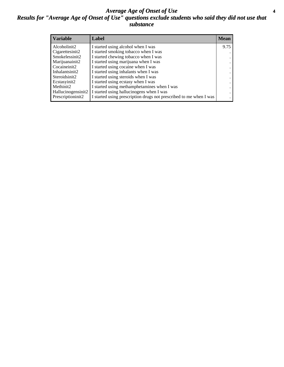#### *Average Age of Onset of Use* **4** *Results for "Average Age of Onset of Use" questions exclude students who said they did not use that substance*

| <b>Variable</b>     | Label                                                              | <b>Mean</b> |
|---------------------|--------------------------------------------------------------------|-------------|
| Alcoholinit2        | I started using alcohol when I was                                 | 9.75        |
| Cigarettesinit2     | I started smoking tobacco when I was                               |             |
| Smokelessinit2      | I started chewing tobacco when I was                               |             |
| Marijuanainit2      | I started using marijuana when I was                               |             |
| Cocaineinit2        | I started using cocaine when I was                                 |             |
| Inhalantsinit2      | I started using inhalants when I was                               |             |
| Steroidsinit2       | I started using steroids when I was                                |             |
| Ecstasyinit2        | I started using ecstasy when I was                                 |             |
| Methinit2           | I started using methamphetamines when I was                        |             |
| Hallucinogensinit2  | I started using hallucinogens when I was                           |             |
| Prescription in it2 | I started using prescription drugs not prescribed to me when I was |             |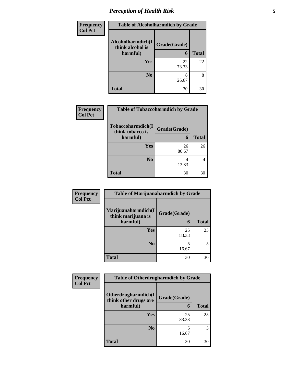# *Perception of Health Risk* **5**

| <b>Frequency</b> | <b>Table of Alcoholharmdich by Grade</b> |              |              |
|------------------|------------------------------------------|--------------|--------------|
| <b>Col Pct</b>   | Alcoholharmdich(I<br>think alcohol is    | Grade(Grade) |              |
|                  | harmful)                                 | 6            | <b>Total</b> |
|                  | Yes                                      | 22<br>73.33  | 22           |
|                  | N <sub>0</sub>                           | 8<br>26.67   | 8            |
|                  | <b>Total</b>                             | 30           | 30           |

| <b>Frequency</b> | <b>Table of Tobaccoharmdich by Grade</b> |              |              |
|------------------|------------------------------------------|--------------|--------------|
| <b>Col Pct</b>   | Tobaccoharmdich(I<br>think tobacco is    | Grade(Grade) |              |
|                  | harmful)                                 | 6            | <b>Total</b> |
|                  | Yes                                      | 26           | 26           |
|                  |                                          | 86.67        |              |
|                  | N <sub>0</sub>                           |              | 4            |
|                  |                                          | 13.33        |              |
|                  | <b>Total</b>                             | 30           | 30           |

| Frequency      | <b>Table of Marijuanaharmdich by Grade</b> |              |              |
|----------------|--------------------------------------------|--------------|--------------|
| <b>Col Pct</b> | Marijuanaharmdich(I<br>think marijuana is  | Grade(Grade) |              |
|                | harmful)                                   | 6            | <b>Total</b> |
|                | Yes                                        | 25<br>83.33  | 25           |
|                | N <sub>0</sub>                             | 5<br>16.67   | 5            |
|                | <b>Total</b>                               | 30           | 30           |

| <b>Frequency</b> | <b>Table of Otherdrugharmdich by Grade</b>   |              |              |  |
|------------------|----------------------------------------------|--------------|--------------|--|
| <b>Col Pct</b>   | Otherdrugharmdich(I<br>think other drugs are | Grade(Grade) |              |  |
|                  | harmful)                                     | 6            | <b>Total</b> |  |
|                  | <b>Yes</b>                                   | 25<br>83.33  | 25           |  |
|                  | N <sub>0</sub>                               | 16.67        | 5            |  |
|                  | <b>Total</b>                                 | 30           | 30           |  |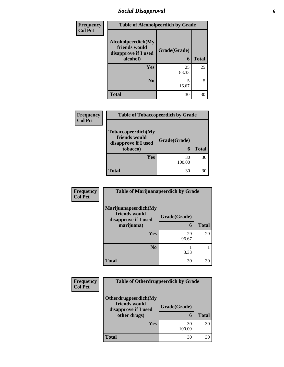### *Social Disapproval* **6**

| <b>Frequency</b> | <b>Table of Alcoholpeerdich by Grade</b>                                |                   |              |
|------------------|-------------------------------------------------------------------------|-------------------|--------------|
| <b>Col Pct</b>   | Alcoholpeerdich(My<br>friends would<br>disapprove if I used<br>alcohol) | Grade(Grade)<br>6 | <b>Total</b> |
|                  |                                                                         |                   |              |
|                  | Yes                                                                     | 25<br>83.33       | 25           |
|                  | N <sub>0</sub>                                                          | 5<br>16.67        | 5            |
|                  | <b>Total</b>                                                            | 30                | 30           |

| Frequency      | <b>Table of Tobaccopeerdich by Grade</b>                                        |                   |              |  |  |
|----------------|---------------------------------------------------------------------------------|-------------------|--------------|--|--|
| <b>Col Pct</b> | <b>Tobaccopeerdich</b> (My<br>friends would<br>disapprove if I used<br>tobacco) | Grade(Grade)<br>6 | <b>Total</b> |  |  |
|                | Yes                                                                             | 30<br>100.00      | 30           |  |  |
|                | Total                                                                           | 30                | 30           |  |  |

| <b>Frequency</b> | <b>Table of Marijuanapeerdich by Grade</b>                    |              |              |  |
|------------------|---------------------------------------------------------------|--------------|--------------|--|
| <b>Col Pct</b>   | Marijuanapeerdich(My<br>friends would<br>disapprove if I used | Grade(Grade) |              |  |
|                  | marijuana)                                                    | 6            | <b>Total</b> |  |
|                  | Yes                                                           | 29<br>96.67  | 29           |  |
|                  | N <sub>0</sub>                                                | 3.33         |              |  |
|                  | <b>Total</b>                                                  | 30           | 30           |  |

| <b>Frequency</b> | <b>Table of Otherdrugpeerdich by Grade</b>                                    |                   |              |  |  |
|------------------|-------------------------------------------------------------------------------|-------------------|--------------|--|--|
| <b>Col Pct</b>   | Otherdrugpeerdich(My<br>friends would<br>disapprove if I used<br>other drugs) | Grade(Grade)<br>6 | <b>Total</b> |  |  |
|                  | Yes                                                                           | 30<br>100.00      | 30           |  |  |
|                  | <b>Total</b>                                                                  | 30                | 30           |  |  |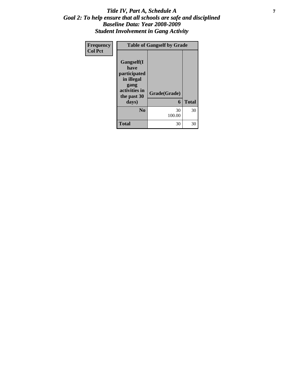#### *Title IV, Part A, Schedule A* **7** *Goal 2: To help ensure that all schools are safe and disciplined Baseline Data: Year 2008-2009 Student Involvement in Gang Activity*

| Frequency      | <b>Table of Gangself by Grade</b>                                                               |              |              |
|----------------|-------------------------------------------------------------------------------------------------|--------------|--------------|
| <b>Col Pct</b> | <b>Gangself(I</b><br>have<br>participated<br>in illegal<br>gang<br>activities in<br>the past 30 | Grade(Grade) |              |
|                | days)                                                                                           | 6            | <b>Total</b> |
|                | N <sub>0</sub>                                                                                  | 30<br>100.00 | 30           |
|                | <b>Total</b>                                                                                    | 30           | 30           |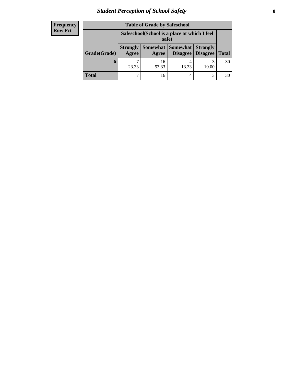# *Student Perception of School Safety* **8**

| <b>Frequency</b> |
|------------------|
| <b>Row Pct</b>   |

| <b>Table of Grade by Safeschool</b> |                                                        |             |                     |                                        |              |
|-------------------------------------|--------------------------------------------------------|-------------|---------------------|----------------------------------------|--------------|
|                                     | Safeschool (School is a place at which I feel<br>safe) |             |                     |                                        |              |
| Grade(Grade)                        | <b>Strongly</b><br>Agree                               | Agree       | Somewhat   Somewhat | <b>Strongly</b><br>Disagree   Disagree | <b>Total</b> |
| O                                   | 23.33                                                  | 16<br>53.33 | 4<br>13.33          | 10.00                                  | 30           |
| Total                               |                                                        | 16          | 4                   | 3                                      |              |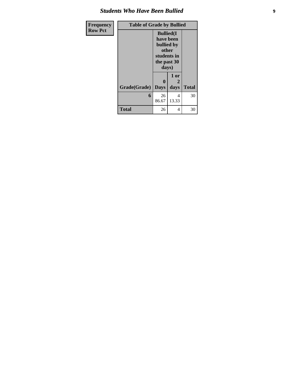#### *Students Who Have Been Bullied*

| Frequency      | <b>Table of Grade by Bullied</b> |                                                                                               |            |              |
|----------------|----------------------------------|-----------------------------------------------------------------------------------------------|------------|--------------|
| <b>Row Pct</b> |                                  | <b>Bullied</b> (I)<br>have been<br>bullied by<br>other<br>students in<br>the past 30<br>days) |            |              |
|                |                                  | $\mathbf{0}$                                                                                  | 1 or<br>2  |              |
|                | Grade(Grade)                     | <b>Days</b>                                                                                   | days       | <b>Total</b> |
|                | 6                                | 26<br>86.67                                                                                   | 4<br>13.33 | 30           |
|                | <b>Total</b>                     | 26                                                                                            | 4          | 30           |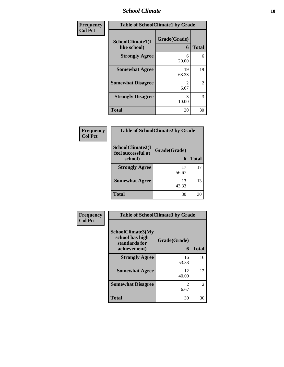#### *School Climate* **10**

| Frequency      | <b>Table of SchoolClimate1 by Grade</b> |                   |              |
|----------------|-----------------------------------------|-------------------|--------------|
| <b>Col Pct</b> | SchoolClimate1(I<br>like school)        | Grade(Grade)<br>6 | <b>Total</b> |
|                | <b>Strongly Agree</b>                   | 6<br>20.00        | 6            |
|                | <b>Somewhat Agree</b>                   | 19<br>63.33       | 19           |
|                | <b>Somewhat Disagree</b>                | 2<br>6.67         | 2            |
|                | <b>Strongly Disagree</b>                | 3<br>10.00        | 3            |
|                | <b>Total</b>                            | 30                | 30           |

#### **Frequency Col Pct**

| <b>Table of SchoolClimate2 by Grade</b> |              |              |  |
|-----------------------------------------|--------------|--------------|--|
| SchoolClimate2(I<br>feel successful at  | Grade(Grade) |              |  |
| school)                                 | 6            | <b>Total</b> |  |
| <b>Strongly Agree</b>                   | 17<br>56.67  | 17           |  |
| <b>Somewhat Agree</b>                   | 13<br>43.33  | 13           |  |
| <b>Total</b>                            | 30           | 30           |  |

| Frequency      | <b>Table of SchoolClimate3 by Grade</b>                               |                   |              |
|----------------|-----------------------------------------------------------------------|-------------------|--------------|
| <b>Col Pct</b> | SchoolClimate3(My<br>school has high<br>standards for<br>achievement) | Grade(Grade)<br>6 | <b>Total</b> |
|                | <b>Strongly Agree</b>                                                 | 16<br>53.33       | 16           |
|                | <b>Somewhat Agree</b>                                                 | 12<br>40.00       | 12           |
|                | <b>Somewhat Disagree</b>                                              | 6.67              | 2            |
|                | Total                                                                 | 30                | 30           |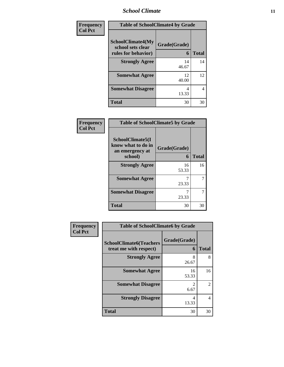#### *School Climate* **11**

| Frequency<br><b>Col Pct</b> | <b>Table of SchoolClimate4 by Grade</b>                              |                   |              |
|-----------------------------|----------------------------------------------------------------------|-------------------|--------------|
|                             | <b>SchoolClimate4(My</b><br>school sets clear<br>rules for behavior) | Grade(Grade)<br>6 | <b>Total</b> |
|                             | <b>Strongly Agree</b>                                                | 14<br>46.67       | 14           |
|                             | <b>Somewhat Agree</b>                                                | 12<br>40.00       | 12           |
|                             | <b>Somewhat Disagree</b>                                             | 4<br>13.33        | 4            |
|                             | <b>Total</b>                                                         | 30                | 30           |

| Frequency      | <b>Table of SchoolClimate5 by Grade</b>                              |                   |              |
|----------------|----------------------------------------------------------------------|-------------------|--------------|
| <b>Col Pct</b> | SchoolClimate5(I<br>know what to do in<br>an emergency at<br>school) | Grade(Grade)<br>6 | <b>Total</b> |
|                | <b>Strongly Agree</b>                                                | 16<br>53.33       | 16           |
|                | <b>Somewhat Agree</b>                                                | 23.33             | 7            |
|                | <b>Somewhat Disagree</b>                                             | 23.33             | 7            |
|                | <b>Total</b>                                                         | 30                | 30           |

| <b>Frequency</b> | <b>Table of SchoolClimate6 by Grade</b>                  |                        |              |
|------------------|----------------------------------------------------------|------------------------|--------------|
| <b>Col Pct</b>   | <b>SchoolClimate6(Teachers</b><br>treat me with respect) | Grade(Grade)<br>6      | <b>Total</b> |
|                  | <b>Strongly Agree</b>                                    | 8<br>26.67             | 8            |
|                  | <b>Somewhat Agree</b>                                    | 16<br>53.33            | 16           |
|                  | <b>Somewhat Disagree</b>                                 | $\overline{2}$<br>6.67 | 2            |
|                  | <b>Strongly Disagree</b>                                 | 4<br>13.33             | 4            |
|                  | <b>Total</b>                                             | 30                     | 30           |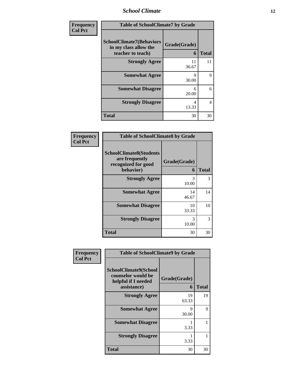*School Climate* **12**

| <b>Frequency</b> | <b>Table of SchoolClimate7 by Grade</b>                                       |                      |              |
|------------------|-------------------------------------------------------------------------------|----------------------|--------------|
| <b>Col Pct</b>   | <b>SchoolClimate7(Behaviors</b><br>in my class allow the<br>teacher to teach) | Grade(Grade)<br>6    | <b>Total</b> |
|                  | <b>Strongly Agree</b>                                                         | 11<br>36.67          | 11           |
|                  | <b>Somewhat Agree</b>                                                         | $\mathbf Q$<br>30.00 | 9            |
|                  | <b>Somewhat Disagree</b>                                                      | 6<br>20.00           | 6            |
|                  | <b>Strongly Disagree</b>                                                      | 4<br>13.33           | 4            |
|                  | <b>Total</b>                                                                  | 30                   | 30           |

| Frequency      | <b>Table of SchoolClimate8 by Grade</b>                                              |                   |              |
|----------------|--------------------------------------------------------------------------------------|-------------------|--------------|
| <b>Col Pct</b> | <b>SchoolClimate8(Students</b><br>are frequently<br>recognized for good<br>behavior) | Grade(Grade)<br>6 | <b>Total</b> |
|                | <b>Strongly Agree</b>                                                                | 3<br>10.00        | 3            |
|                | <b>Somewhat Agree</b>                                                                | 14<br>46.67       | 14           |
|                | <b>Somewhat Disagree</b>                                                             | 10<br>33.33       | 10           |
|                | <b>Strongly Disagree</b>                                                             | 3<br>10.00        | 3            |
|                | <b>Total</b>                                                                         | 30                | 30           |

| Frequency      | <b>Table of SchoolClimate9 by Grade</b>                                           |                   |              |
|----------------|-----------------------------------------------------------------------------------|-------------------|--------------|
| <b>Col Pct</b> | SchoolClimate9(School<br>counselor would be<br>helpful if I needed<br>assistance) | Grade(Grade)<br>6 | <b>Total</b> |
|                | <b>Strongly Agree</b>                                                             | 19<br>63.33       | 19           |
|                | <b>Somewhat Agree</b>                                                             | 9<br>30.00        | 9            |
|                | <b>Somewhat Disagree</b>                                                          | 3.33              |              |
|                | <b>Strongly Disagree</b>                                                          | 3.33              |              |
|                | Total                                                                             | 30                | 30           |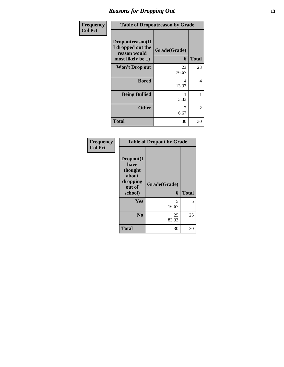### *Reasons for Dropping Out* **13**

| Frequency      | <b>Table of Dropoutreason by Grade</b>                                   |                   |              |
|----------------|--------------------------------------------------------------------------|-------------------|--------------|
| <b>Col Pct</b> | Dropoutreason(If<br>I dropped out the<br>reason would<br>most likely be) | Grade(Grade)<br>6 | <b>Total</b> |
|                | <b>Won't Drop out</b>                                                    | 23<br>76.67       | 23           |
|                | <b>Bored</b>                                                             | 4<br>13.33        | 4            |
|                | <b>Being Bullied</b>                                                     | 3.33              | 1            |
|                | <b>Other</b>                                                             | 2<br>6.67         | 2            |
|                | Total                                                                    | 30                | 30           |

| Frequency      | <b>Table of Dropout by Grade</b>                                       |                   |              |
|----------------|------------------------------------------------------------------------|-------------------|--------------|
| <b>Col Pct</b> | Dropout(I<br>have<br>thought<br>about<br>dropping<br>out of<br>school) | Grade(Grade)<br>6 | <b>Total</b> |
|                | Yes                                                                    | 5<br>16.67        | 5            |
|                | N <sub>0</sub>                                                         | 25<br>83.33       | 25           |
|                | <b>Total</b>                                                           | 30                | 30           |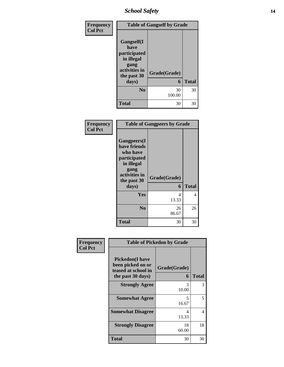### *School Safety* **14**

| Frequency      | <b>Table of Gangself by Grade</b>                                                                |              |              |
|----------------|--------------------------------------------------------------------------------------------------|--------------|--------------|
| <b>Col Pct</b> | <b>Gangself</b> (I<br>have<br>participated<br>in illegal<br>gang<br>activities in<br>the past 30 | Grade(Grade) |              |
|                | days)                                                                                            | 6            | <b>Total</b> |
|                | N <sub>0</sub>                                                                                   | 30<br>100.00 | 30           |
|                | <b>Total</b>                                                                                     | 30           | 30           |

| Frequency<br><b>Col Pct</b> | <b>Table of Gangpeers by Grade</b>                                                                                             |                   |              |
|-----------------------------|--------------------------------------------------------------------------------------------------------------------------------|-------------------|--------------|
|                             | <b>Gangpeers</b> (I<br>have friends<br>who have<br>participated<br>in illegal<br>gang<br>activities in<br>the past 30<br>days) | Grade(Grade)<br>6 | <b>Total</b> |
|                             | Yes                                                                                                                            | 4                 | 4            |
|                             |                                                                                                                                | 13.33             |              |
|                             | N <sub>0</sub>                                                                                                                 | 26<br>86.67       | 26           |
|                             | Total                                                                                                                          | 30                | 30           |

| Frequency      | <b>Table of Pickedon by Grade</b>                                                        |                   |              |
|----------------|------------------------------------------------------------------------------------------|-------------------|--------------|
| <b>Col Pct</b> | <b>Pickedon</b> (I have<br>been picked on or<br>teased at school in<br>the past 30 days) | Grade(Grade)<br>6 | <b>Total</b> |
|                | <b>Strongly Agree</b>                                                                    | 3<br>10.00        | 3            |
|                | <b>Somewhat Agree</b>                                                                    | 5<br>16.67        | 5            |
|                | <b>Somewhat Disagree</b>                                                                 | 4<br>13.33        | 4            |
|                | <b>Strongly Disagree</b>                                                                 | 18<br>60.00       | 18           |
|                | <b>Total</b>                                                                             | 30                | 30           |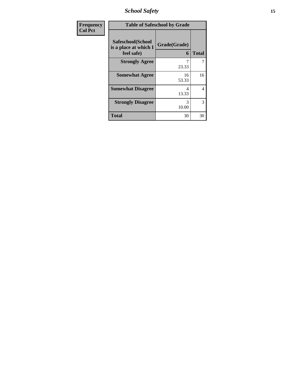*School Safety* **15**

| <b>Frequency</b> | <b>Table of Safeschool by Grade</b>                      |                   |                |
|------------------|----------------------------------------------------------|-------------------|----------------|
| <b>Col Pct</b>   | Safeschool(School<br>is a place at which I<br>feel safe) | Grade(Grade)<br>6 | <b>Total</b>   |
|                  | <b>Strongly Agree</b>                                    | 23.33             | 7              |
|                  | <b>Somewhat Agree</b>                                    | 16<br>53.33       | 16             |
|                  | <b>Somewhat Disagree</b>                                 | 13.33             | $\overline{4}$ |
|                  | <b>Strongly Disagree</b>                                 | 3<br>10.00        | 3              |
|                  | <b>Total</b>                                             | 30                | 30             |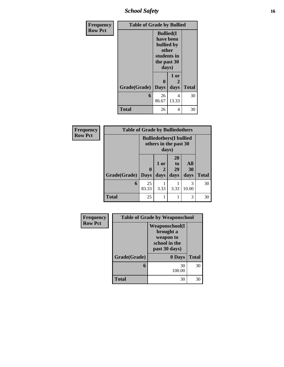*School Safety* **16**

| <b>Frequency</b> | <b>Table of Grade by Bullied</b> |                                                                                              |            |              |
|------------------|----------------------------------|----------------------------------------------------------------------------------------------|------------|--------------|
| <b>Row Pct</b>   |                                  | <b>Bullied</b> (I<br>have been<br>bullied by<br>other<br>students in<br>the past 30<br>days) |            |              |
|                  |                                  | 0                                                                                            | 1 or<br>2  |              |
|                  | Grade(Grade)                     | <b>Days</b>                                                                                  | days       | <b>Total</b> |
|                  | 6                                | 26<br>86.67                                                                                  | 4<br>13.33 | 30           |
|                  | <b>Total</b>                     | 26                                                                                           | 4          | 30           |

| Frequency      | <b>Table of Grade by Bulliedothers</b> |                            |                                                                   |                        |                   |              |
|----------------|----------------------------------------|----------------------------|-------------------------------------------------------------------|------------------------|-------------------|--------------|
| <b>Row Pct</b> |                                        |                            | <b>Bulliedothers</b> (I bullied<br>others in the past 30<br>days) |                        |                   |              |
|                | Grade(Grade)                           | $\mathbf 0$<br><b>Days</b> | 1 or<br>days                                                      | 20<br>to<br>29<br>days | All<br>30<br>days | <b>Total</b> |
|                | 6                                      | 25<br>83.33                | 3.33                                                              | 3.33                   | 3<br>10.00        | 30           |
|                | <b>Total</b>                           | 25                         |                                                                   |                        | 3                 | 30           |

| Frequency      | <b>Table of Grade by Weaponschool</b> |                                                                                    |              |
|----------------|---------------------------------------|------------------------------------------------------------------------------------|--------------|
| <b>Row Pct</b> |                                       | <b>Weaponschool</b> (I<br>brought a<br>weapon to<br>school in the<br>past 30 days) |              |
|                | Grade(Grade)                          | 0 Days                                                                             | <b>Total</b> |
|                | 6                                     | 30<br>100.00                                                                       | 30           |
|                | Total                                 | 30                                                                                 | 30           |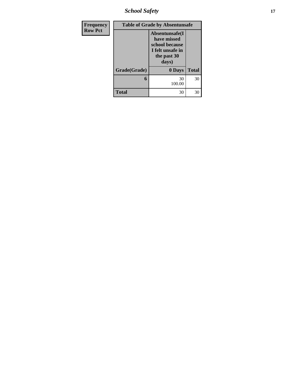*School Safety* **17**

| <b>Frequency</b> | <b>Table of Grade by Absentunsafe</b> |                                                                                              |              |  |
|------------------|---------------------------------------|----------------------------------------------------------------------------------------------|--------------|--|
| <b>Row Pct</b>   |                                       | Absentunsafe(I)<br>have missed<br>school because<br>I felt unsafe in<br>the past 30<br>days) |              |  |
|                  | Grade(Grade)                          | 0 Days                                                                                       | <b>Total</b> |  |
|                  | 6                                     | 30<br>100.00                                                                                 | 30           |  |
|                  | <b>Total</b>                          | 30                                                                                           | 30           |  |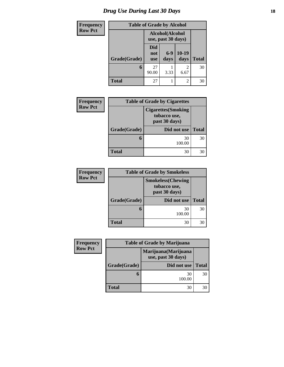# *Drug Use During Last 30 Days* **18**

| <b>Frequency</b> |              | <b>Table of Grade by Alcohol</b> |                                       |                 |              |
|------------------|--------------|----------------------------------|---------------------------------------|-----------------|--------------|
| <b>Row Pct</b>   |              |                                  | Alcohol(Alcohol<br>use, past 30 days) |                 |              |
|                  | Grade(Grade) | Did<br>not<br><b>use</b>         | $6-9$<br>days                         | $10-19$<br>days | <b>Total</b> |
|                  | 6            | 27<br>90.00                      | 3.33                                  | 2<br>6.67       | 30           |
|                  | Total        | 27                               |                                       | $\mathfrak{D}$  | 30           |

| <b>Frequency</b> |              | <b>Table of Grade by Cigarettes</b>                         |              |  |
|------------------|--------------|-------------------------------------------------------------|--------------|--|
| <b>Row Pct</b>   |              | <b>Cigarettes</b> (Smoking<br>tobacco use,<br>past 30 days) |              |  |
|                  | Grade(Grade) | Did not use                                                 | <b>Total</b> |  |
|                  |              | 30<br>100.00                                                | 30           |  |
|                  | Total        | 30                                                          | 30           |  |

| <b>Frequency</b> |              | <b>Table of Grade by Smokeless</b>                         |              |
|------------------|--------------|------------------------------------------------------------|--------------|
| <b>Row Pct</b>   |              | <b>Smokeless</b> (Chewing<br>tobacco use,<br>past 30 days) |              |
|                  | Grade(Grade) | Did not use                                                | <b>Total</b> |
|                  |              | 30<br>100.00                                               | 30           |
|                  | <b>Total</b> | 30                                                         | 30           |

| <b>Frequency</b> |              | <b>Table of Grade by Marijuana</b>         |              |  |  |
|------------------|--------------|--------------------------------------------|--------------|--|--|
| <b>Row Pct</b>   |              | Marijuana (Marijuana<br>use, past 30 days) |              |  |  |
|                  | Grade(Grade) | Did not use                                | <b>Total</b> |  |  |
|                  | 6            | 30<br>100.00                               | 30           |  |  |
|                  | <b>Total</b> | 30                                         | 30           |  |  |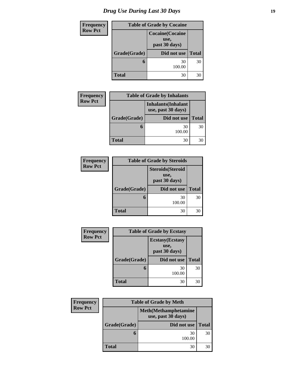| <b>Frequency</b> |              | <b>Table of Grade by Cocaine</b>                 |              |  |  |
|------------------|--------------|--------------------------------------------------|--------------|--|--|
| <b>Row Pct</b>   |              | <b>Cocaine</b> (Cocaine<br>use,<br>past 30 days) |              |  |  |
|                  | Grade(Grade) | Did not use                                      | <b>Total</b> |  |  |
|                  | 6            | 30<br>100.00                                     | 30           |  |  |
|                  | <b>Total</b> | 30                                               | 30           |  |  |

| <b>Frequency</b> |              | <b>Table of Grade by Inhalants</b>               |              |
|------------------|--------------|--------------------------------------------------|--------------|
| <b>Row Pct</b>   |              | <b>Inhalants</b> (Inhalant<br>use, past 30 days) |              |
|                  | Grade(Grade) | Did not use                                      | <b>Total</b> |
|                  |              | 30<br>100.00                                     | 30           |
|                  | <b>Total</b> | 30                                               | 30           |

| <b>Frequency</b> |              | <b>Table of Grade by Steroids</b>                 |              |  |
|------------------|--------------|---------------------------------------------------|--------------|--|
| <b>Row Pct</b>   |              | <b>Steroids</b> (Steroid<br>use,<br>past 30 days) |              |  |
|                  | Grade(Grade) | Did not use                                       | <b>Total</b> |  |
|                  | 6            | 30<br>100.00                                      | 30           |  |
|                  | Total        | 30                                                | 30           |  |

| Frequency      |              | <b>Table of Grade by Ecstasy</b>                 |              |  |  |
|----------------|--------------|--------------------------------------------------|--------------|--|--|
| <b>Row Pct</b> |              | <b>Ecstasy</b> (Ecstasy<br>use,<br>past 30 days) |              |  |  |
|                | Grade(Grade) | Did not use                                      | <b>Total</b> |  |  |
|                | 6            | 30<br>100.00                                     | 30           |  |  |
|                | <b>Total</b> | 30                                               | 30           |  |  |

| <b>Frequency</b> | <b>Table of Grade by Meth</b>                      |              |              |
|------------------|----------------------------------------------------|--------------|--------------|
| <b>Row Pct</b>   | <b>Meth</b> (Methamphetamine<br>use, past 30 days) |              |              |
|                  | Grade(Grade)                                       | Did not use  | <b>Total</b> |
|                  | O                                                  | 30<br>100.00 | 30           |
|                  | <b>Total</b>                                       | 30           | 30           |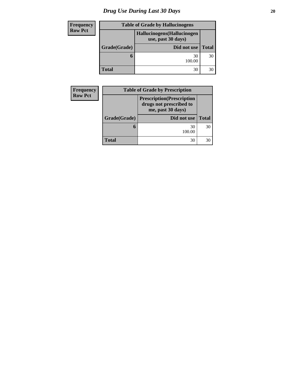# *Drug Use During Last 30 Days* 20

| Frequency      | <b>Table of Grade by Hallucinogens</b>            |              |              |
|----------------|---------------------------------------------------|--------------|--------------|
| <b>Row Pct</b> | Hallucinogens (Hallucinogen<br>use, past 30 days) |              |              |
|                | Grade(Grade)                                      | Did not use  | <b>Total</b> |
|                |                                                   | 30<br>100.00 | 30           |
|                | <b>Total</b>                                      | 30           | 30           |

| Frequency      |              | <b>Table of Grade by Prescription</b>                                             |              |
|----------------|--------------|-----------------------------------------------------------------------------------|--------------|
| <b>Row Pct</b> |              | <b>Prescription</b> (Prescription<br>drugs not prescribed to<br>me, past 30 days) |              |
|                | Grade(Grade) | Did not use                                                                       | <b>Total</b> |
|                | O            | 30<br>100.00                                                                      | 30           |
|                | <b>Total</b> | 30                                                                                | 30           |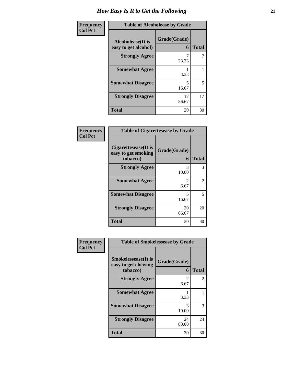| Frequency      | <b>Table of Alcoholease by Grade</b>              |                   |              |
|----------------|---------------------------------------------------|-------------------|--------------|
| <b>Col Pct</b> | <b>Alcoholease</b> (It is<br>easy to get alcohol) | Grade(Grade)<br>6 | <b>Total</b> |
|                | <b>Strongly Agree</b>                             | 23.33             |              |
|                | <b>Somewhat Agree</b>                             | 3.33              |              |
|                | <b>Somewhat Disagree</b>                          | 5<br>16.67        | 5            |
|                | <b>Strongly Disagree</b>                          | 17<br>56.67       | 17           |
|                | <b>Total</b>                                      | 30                | 30           |

| Frequency<br>Col Pct |
|----------------------|
|                      |

| <b>Table of Cigarettesease by Grade</b>                 |                   |              |
|---------------------------------------------------------|-------------------|--------------|
| Cigarettesease(It is<br>easy to get smoking<br>tobacco) | Grade(Grade)<br>6 | <b>Total</b> |
| <b>Strongly Agree</b>                                   | 3<br>10.00        | 3            |
| <b>Somewhat Agree</b>                                   | 2<br>6.67         | 2            |
| <b>Somewhat Disagree</b>                                | 5<br>16.67        | 5            |
| <b>Strongly Disagree</b>                                | 20<br>66.67       | 20           |
| <b>Total</b>                                            | 30                | 30           |

| Frequency      | <b>Table of Smokelessease by Grade</b>                         |                   |              |
|----------------|----------------------------------------------------------------|-------------------|--------------|
| <b>Col Pct</b> | <b>Smokelessease</b> (It is<br>easy to get chewing<br>tobacco) | Grade(Grade)<br>6 | <b>Total</b> |
|                | <b>Strongly Agree</b>                                          | 2<br>6.67         | 2            |
|                | <b>Somewhat Agree</b>                                          | 3.33              |              |
|                | <b>Somewhat Disagree</b>                                       | 3<br>10.00        | 3            |
|                | <b>Strongly Disagree</b>                                       | 24<br>80.00       | 24           |
|                | <b>Total</b>                                                   | 30                | 30           |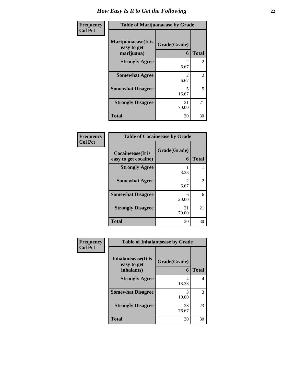| Frequency<br><b>Col Pct</b> | <b>Table of Marijuanaease by Grade</b>            |                        |              |
|-----------------------------|---------------------------------------------------|------------------------|--------------|
|                             | Marijuanaease (It is<br>easy to get<br>marijuana) | Grade(Grade)<br>6      | <b>Total</b> |
|                             | <b>Strongly Agree</b>                             | $\mathfrak{D}$<br>6.67 | 2            |
|                             | <b>Somewhat Agree</b>                             | 2<br>6.67              | 2            |
|                             | <b>Somewhat Disagree</b>                          | 5<br>16.67             | 5            |
|                             | <b>Strongly Disagree</b>                          | 21<br>70.00            | 21           |
|                             | <b>Total</b>                                      | 30                     | 30           |

#### **Frequency Col Pct**

| <b>Table of Cocaineease by Grade</b>      |                                     |              |
|-------------------------------------------|-------------------------------------|--------------|
| Cocaineease(It is<br>easy to get cocaine) | Grade(Grade)<br>6                   | <b>Total</b> |
| <b>Strongly Agree</b>                     | 3.33                                |              |
| <b>Somewhat Agree</b>                     | $\mathcal{D}_{\mathcal{L}}$<br>6.67 | 2            |
| <b>Somewhat Disagree</b>                  | 6<br>20.00                          | 6            |
| <b>Strongly Disagree</b>                  | 21<br>70.00                         | 21           |
| <b>Total</b>                              | 30                                  | 30           |

| Frequency      | <b>Table of Inhalantsease by Grade</b>           |                   |              |
|----------------|--------------------------------------------------|-------------------|--------------|
| <b>Col Pct</b> | Inhalantsease(It is<br>easy to get<br>inhalants) | Grade(Grade)<br>6 | <b>Total</b> |
|                | <b>Strongly Agree</b>                            | 4<br>13.33        | 4            |
|                | <b>Somewhat Disagree</b>                         | 3<br>10.00        | 3            |
|                | <b>Strongly Disagree</b>                         | 23<br>76.67       | 23           |
|                | <b>Total</b>                                     | 30                | 30           |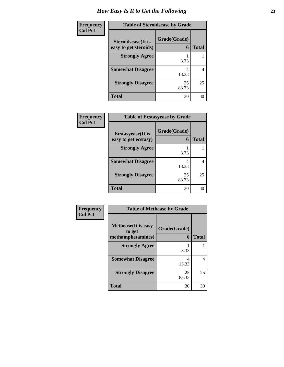| Frequency      | <b>Table of Steroidsease by Grade</b>               |                   |              |
|----------------|-----------------------------------------------------|-------------------|--------------|
| <b>Col Pct</b> | <b>Steroidsease</b> (It is<br>easy to get steroids) | Grade(Grade)<br>6 | <b>Total</b> |
|                | <b>Strongly Agree</b>                               | 3.33              |              |
|                | <b>Somewhat Disagree</b>                            | 4<br>13.33        | 4            |
|                | <b>Strongly Disagree</b>                            | 25<br>83.33       | 25           |
|                | <b>Total</b>                                        | 30                | 30           |

| <b>Frequency</b> | <b>Table of Ecstasyease by Grade</b>              |                   |              |
|------------------|---------------------------------------------------|-------------------|--------------|
| <b>Col Pct</b>   | <b>Ecstasyease</b> (It is<br>easy to get ecstasy) | Grade(Grade)<br>6 | <b>Total</b> |
|                  | <b>Strongly Agree</b>                             | 3.33              |              |
|                  | <b>Somewhat Disagree</b>                          | 4<br>13.33        |              |
|                  | <b>Strongly Disagree</b>                          | 25<br>83.33       | 25           |
|                  | <b>Total</b>                                      | 30                | 30           |

| Frequency<br>Col Pct |  |
|----------------------|--|
|                      |  |

h

| <b>Table of Methease by Grade</b>                          |                   |              |
|------------------------------------------------------------|-------------------|--------------|
| <b>Methease</b> (It is easy<br>to get<br>methamphetamines) | Grade(Grade)<br>6 | <b>Total</b> |
| <b>Strongly Agree</b>                                      | 3.33              |              |
| <b>Somewhat Disagree</b>                                   | 4<br>13.33        | 4            |
| <b>Strongly Disagree</b>                                   | 25<br>83.33       | 25           |
| <b>Total</b>                                               | 30                | 30           |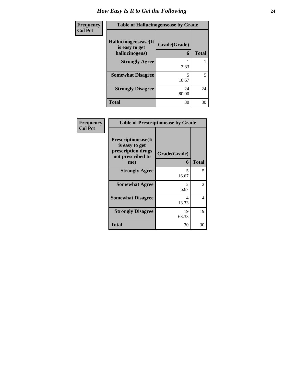| Frequency      | <b>Table of Hallucinogensease by Grade</b>               |                   |              |
|----------------|----------------------------------------------------------|-------------------|--------------|
| <b>Col Pct</b> | Hallucinogensease(It<br>is easy to get<br>hallucinogens) | Grade(Grade)<br>6 | <b>Total</b> |
|                | <b>Strongly Agree</b>                                    | 3.33              |              |
|                | <b>Somewhat Disagree</b>                                 | 5<br>16.67        | 5            |
|                | <b>Strongly Disagree</b>                                 | 24<br>80.00       | 24           |
|                | <b>Total</b>                                             | 30                | 30           |

| <b>Frequency</b> | <b>Table of Prescriptionease by Grade</b>                                               |                                     |                |
|------------------|-----------------------------------------------------------------------------------------|-------------------------------------|----------------|
| <b>Col Pct</b>   | Prescriptionease(It<br>is easy to get<br>prescription drugs<br>not prescribed to<br>me) | Grade(Grade)<br>6                   | <b>Total</b>   |
|                  | <b>Strongly Agree</b>                                                                   | 5<br>16.67                          | 5              |
|                  | <b>Somewhat Agree</b>                                                                   | $\mathcal{D}_{\mathcal{L}}$<br>6.67 | $\overline{2}$ |
|                  | <b>Somewhat Disagree</b>                                                                | 4<br>13.33                          | 4              |
|                  | <b>Strongly Disagree</b>                                                                | 19<br>63.33                         | 19             |
|                  | Total                                                                                   | 30                                  | 30             |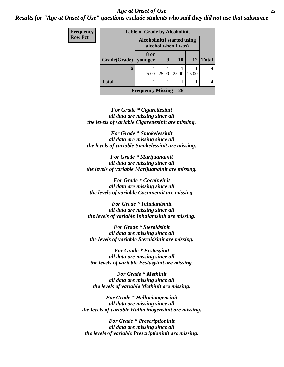#### *Age at Onset of Use* **25** *Results for "Age at Onset of Use" questions exclude students who said they did not use that substance*

| Frequency      | <b>Table of Grade by Alcoholinit</b>                |                          |       |       |           |                |
|----------------|-----------------------------------------------------|--------------------------|-------|-------|-----------|----------------|
| <b>Row Pct</b> | Alcoholinit (I started using<br>alcohol when I was) |                          |       |       |           |                |
|                | Grade(Grade)                                        | 8 or<br>vounger          | 9     | 10    | <b>12</b> | <b>Total</b>   |
|                | 6                                                   | 25.00                    | 25.00 | 25.00 | 25.00     | $\overline{4}$ |
|                | <b>Total</b>                                        |                          |       |       |           |                |
|                |                                                     | Frequency Missing $= 26$ |       |       |           |                |

*For Grade \* Cigarettesinit all data are missing since all the levels of variable Cigarettesinit are missing.*

*For Grade \* Smokelessinit all data are missing since all the levels of variable Smokelessinit are missing.*

*For Grade \* Marijuanainit all data are missing since all the levels of variable Marijuanainit are missing.*

*For Grade \* Cocaineinit all data are missing since all the levels of variable Cocaineinit are missing.*

*For Grade \* Inhalantsinit all data are missing since all the levels of variable Inhalantsinit are missing.*

*For Grade \* Steroidsinit all data are missing since all the levels of variable Steroidsinit are missing.*

*For Grade \* Ecstasyinit all data are missing since all the levels of variable Ecstasyinit are missing.*

*For Grade \* Methinit all data are missing since all the levels of variable Methinit are missing.*

*For Grade \* Hallucinogensinit all data are missing since all the levels of variable Hallucinogensinit are missing.*

*For Grade \* Prescriptioninit all data are missing since all the levels of variable Prescriptioninit are missing.*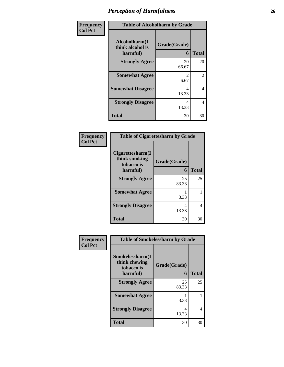| Frequency      | <b>Table of Alcoholharm by Grade</b>          |                        |              |
|----------------|-----------------------------------------------|------------------------|--------------|
| <b>Col Pct</b> | Alcoholharm(I<br>think alcohol is<br>harmful) | Grade(Grade)<br>6      | <b>Total</b> |
|                | <b>Strongly Agree</b>                         | 20<br>66.67            | 20           |
|                | <b>Somewhat Agree</b>                         | $\mathfrak{D}$<br>6.67 | 2            |
|                | <b>Somewhat Disagree</b>                      | 4<br>13.33             | 4            |
|                | <b>Strongly Disagree</b>                      | 4<br>13.33             | 4            |
|                | <b>Total</b>                                  | 30                     | 30           |

#### **Frequency Col Pct**

| <b>Table of Cigarettesharm by Grade</b>         |              |              |  |
|-------------------------------------------------|--------------|--------------|--|
| Cigarettesharm(I<br>think smoking<br>tobacco is | Grade(Grade) |              |  |
| harmful)                                        | 6            | <b>Total</b> |  |
| <b>Strongly Agree</b>                           | 25<br>83.33  | 25           |  |
| <b>Somewhat Agree</b>                           | 3.33         |              |  |
| <b>Strongly Disagree</b>                        | 4<br>13.33   | 4            |  |
| <b>Total</b>                                    | 30           | 30           |  |

| <b>Frequency</b> | <b>Table of Smokelessharm by Grade</b>         |              |                |
|------------------|------------------------------------------------|--------------|----------------|
| <b>Col Pct</b>   | Smokelessharm(I<br>think chewing<br>tobacco is | Grade(Grade) |                |
|                  | harmful)                                       | 6            | <b>Total</b>   |
|                  | <b>Strongly Agree</b>                          | 25<br>83.33  | 25             |
|                  | <b>Somewhat Agree</b>                          | 3.33         | 1              |
|                  | <b>Strongly Disagree</b>                       | 4<br>13.33   | $\overline{4}$ |
|                  | <b>Total</b>                                   | 30           | 30             |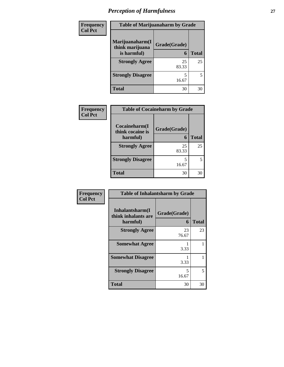| Frequency      | <b>Table of Marijuanaharm by Grade</b> |              |              |
|----------------|----------------------------------------|--------------|--------------|
| <b>Col Pct</b> | Marijuanaharm(I<br>think marijuana     | Grade(Grade) |              |
|                | is harmful)                            | 6            | <b>Total</b> |
|                | <b>Strongly Agree</b>                  | 25<br>83.33  | 25           |
|                | <b>Strongly Disagree</b>               | 16.67        | 5            |
|                | <b>Total</b>                           | 30           | 30           |

| Frequency      | <b>Table of Cocaineharm by Grade</b> |              |              |
|----------------|--------------------------------------|--------------|--------------|
| <b>Col Pct</b> | Cocaineharm(I<br>think cocaine is    | Grade(Grade) |              |
|                | harmful)                             | 6            | <b>Total</b> |
|                | <b>Strongly Agree</b>                | 25<br>83.33  | 25           |
|                | <b>Strongly Disagree</b>             | 5<br>16.67   |              |
|                | <b>Total</b>                         | 30           | 30           |

| Frequency      | <b>Table of Inhalantsharm by Grade</b>             |                   |              |
|----------------|----------------------------------------------------|-------------------|--------------|
| <b>Col Pct</b> | Inhalantsharm(I<br>think inhalants are<br>harmful) | Grade(Grade)<br>6 | <b>Total</b> |
|                | <b>Strongly Agree</b>                              | 23<br>76.67       | 23           |
|                | <b>Somewhat Agree</b>                              | 3.33              |              |
|                | <b>Somewhat Disagree</b>                           | 3.33              |              |
|                | <b>Strongly Disagree</b>                           | 5<br>16.67        | 5            |
|                | <b>Total</b>                                       | 30                | 30           |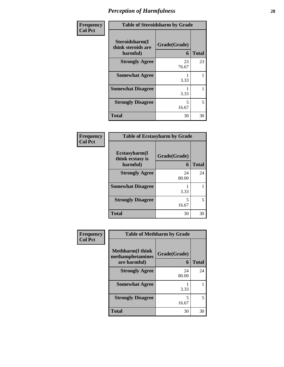| Frequency      | <b>Table of Steroidsharm by Grade</b>            |                                   |              |
|----------------|--------------------------------------------------|-----------------------------------|--------------|
| <b>Col Pct</b> | Steroidsharm(I<br>think steroids are<br>harmful) | Grade(Grade)<br>6                 | <b>Total</b> |
|                | <b>Strongly Agree</b>                            | 23<br>76.67                       | 23           |
|                | <b>Somewhat Agree</b>                            | 3.33                              | 1            |
|                | <b>Somewhat Disagree</b>                         | 3.33                              |              |
|                | <b>Strongly Disagree</b>                         | $\overline{\phantom{0}}$<br>16.67 | 5            |
|                | <b>Total</b>                                     | 30                                | 30           |

#### **Frequency Col Pct**

| <b>Table of Ecstasyharm by Grade</b>                |                   |       |  |
|-----------------------------------------------------|-------------------|-------|--|
| $E$ cstasyharm $(I$<br>think ecstasy is<br>harmful) | Grade(Grade)<br>6 | Total |  |
| <b>Strongly Agree</b>                               | 24<br>80.00       | 24    |  |
| <b>Somewhat Disagree</b>                            | 3.33              |       |  |
| <b>Strongly Disagree</b>                            | 5<br>16.67        | 5     |  |
| <b>Total</b>                                        | 30                | 30    |  |

#### **Frequency Col Pct**

| <b>Table of Methharm by Grade</b>            |              |              |
|----------------------------------------------|--------------|--------------|
| <b>Methharm</b> (I think<br>methamphetamines | Grade(Grade) |              |
| are harmful)                                 | 6            | <b>Total</b> |
| <b>Strongly Agree</b>                        | 24<br>80.00  | 24           |
| <b>Somewhat Agree</b>                        | 3.33         |              |
| <b>Strongly Disagree</b>                     | 5<br>16.67   | 5            |
| Total                                        | 30           |              |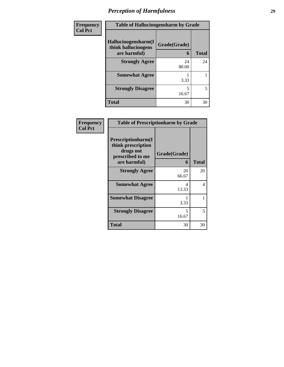| Frequency      | <b>Table of Hallucinogensharm by Grade</b>                 |                   |              |
|----------------|------------------------------------------------------------|-------------------|--------------|
| <b>Col Pct</b> | Hallucinogensharm(I<br>think hallucinogens<br>are harmful) | Grade(Grade)<br>6 | <b>Total</b> |
|                | <b>Strongly Agree</b>                                      | 24<br>80.00       | 24           |
|                | <b>Somewhat Agree</b>                                      | 3.33              |              |
|                | <b>Strongly Disagree</b>                                   | 5<br>16.67        | 5            |
|                | <b>Total</b>                                               | 30                | 30           |

| Frequency      | <b>Table of Prescriptionharm by Grade</b>                                                 |                   |              |
|----------------|-------------------------------------------------------------------------------------------|-------------------|--------------|
| <b>Col Pct</b> | Prescriptionharm(I<br>think prescription<br>drugs not<br>prescribed to me<br>are harmful) | Grade(Grade)<br>6 | <b>Total</b> |
|                | <b>Strongly Agree</b>                                                                     | 20<br>66.67       | 20           |
|                | <b>Somewhat Agree</b>                                                                     | 4<br>13.33        | 4            |
|                | <b>Somewhat Disagree</b>                                                                  | 3.33              | 1            |
|                | <b>Strongly Disagree</b>                                                                  | 5<br>16.67        | 5            |
|                | <b>Total</b>                                                                              | 30                | 30           |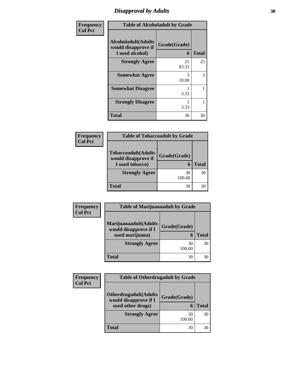### *Disapproval by Adults* 30

| <b>Frequency</b> | <b>Table of Alcoholadult by Grade</b>                                 |                   |              |
|------------------|-----------------------------------------------------------------------|-------------------|--------------|
| <b>Col Pct</b>   | <b>Alcoholadult</b> (Adults<br>would disapprove if<br>I used alcohol) | Grade(Grade)<br>6 | <b>Total</b> |
|                  | <b>Strongly Agree</b>                                                 | 25<br>83.33       | 25           |
|                  | <b>Somewhat Agree</b>                                                 | 3<br>10.00        | 3            |
|                  | <b>Somewhat Disagree</b>                                              | 3.33              | 1            |
|                  | <b>Strongly Disagree</b>                                              | 3.33              |              |
|                  | Total                                                                 | 30                | 30           |

| <b>Frequency</b><br>Col Pct |
|-----------------------------|
|                             |

| <b>Table of Tobaccoadult by Grade</b>                                 |              |              |  |
|-----------------------------------------------------------------------|--------------|--------------|--|
| <b>Tobaccoadult</b> (Adults<br>would disapprove if<br>I used tobacco) | Grade(Grade) | <b>Total</b> |  |
| <b>Strongly Agree</b>                                                 | 30<br>100.00 | 30           |  |
| Total                                                                 | 30           |              |  |

| Frequency      | <b>Table of Marijuanaadult by Grade</b>                           |                   |              |
|----------------|-------------------------------------------------------------------|-------------------|--------------|
| <b>Col Pct</b> | Marijuanaadult(Adults<br>would disapprove if I<br>used marijuana) | Grade(Grade)<br>6 | <b>Total</b> |
|                | <b>Strongly Agree</b>                                             | 30<br>100.00      | 30           |
|                | Total                                                             | 30                | 30           |

| Frequency      | <b>Table of Otherdrugadult by Grade</b>               |              |       |
|----------------|-------------------------------------------------------|--------------|-------|
| <b>Col Pct</b> |                                                       |              |       |
|                | <b>Otherdrugadult(Adults</b><br>would disapprove if I | Grade(Grade) |       |
|                | used other drugs)                                     | 6            | Total |
|                | <b>Strongly Agree</b>                                 | 30<br>100.00 | 30    |
|                | Total                                                 | 30           | 30    |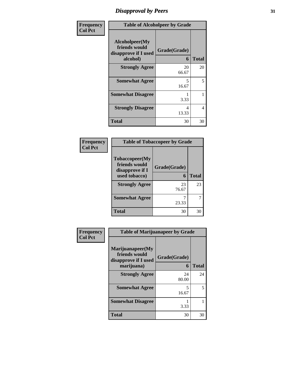# *Disapproval by Peers* **31**

| Frequency      | <b>Table of Alcoholpeer by Grade</b>                                |                   |              |
|----------------|---------------------------------------------------------------------|-------------------|--------------|
| <b>Col Pct</b> | Alcoholpeer(My<br>friends would<br>disapprove if I used<br>alcohol) | Grade(Grade)<br>6 | <b>Total</b> |
|                | <b>Strongly Agree</b>                                               | 20<br>66.67       | 20           |
|                | <b>Somewhat Agree</b>                                               | 5<br>16.67        | 5            |
|                | <b>Somewhat Disagree</b>                                            | 3.33              | 1            |
|                | <b>Strongly Disagree</b>                                            | 4<br>13.33        | 4            |
|                | <b>Total</b>                                                        | 30                | 30           |

| Frequency      | <b>Table of Tobaccopeer by Grade</b>                                |                   |              |
|----------------|---------------------------------------------------------------------|-------------------|--------------|
| <b>Col Pct</b> | Tobaccopeer(My<br>friends would<br>disapprove if I<br>used tobacco) | Grade(Grade)<br>6 | <b>Total</b> |
|                | <b>Strongly Agree</b>                                               | 23<br>76.67       | 23           |
|                | <b>Somewhat Agree</b>                                               | 23.33             |              |
|                | <b>Total</b>                                                        | 30                | 30           |

| Frequency      | <b>Table of Marijuanapeer by Grade</b>                                  |                   |              |
|----------------|-------------------------------------------------------------------------|-------------------|--------------|
| <b>Col Pct</b> | Marijuanapeer(My<br>friends would<br>disapprove if I used<br>marijuana) | Grade(Grade)<br>6 | <b>Total</b> |
|                | <b>Strongly Agree</b>                                                   | 24<br>80.00       | 24           |
|                | <b>Somewhat Agree</b>                                                   | 5<br>16.67        | 5            |
|                | <b>Somewhat Disagree</b>                                                | 3.33              |              |
|                | <b>Total</b>                                                            | 30                | 30           |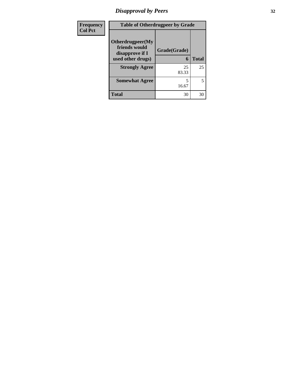#### *Disapproval by Peers* **32**

| Frequency      | <b>Table of Otherdrugpeer by Grade</b>                                    |                   |              |
|----------------|---------------------------------------------------------------------------|-------------------|--------------|
| <b>Col Pct</b> | Otherdrugpeer(My<br>friends would<br>disapprove if I<br>used other drugs) | Grade(Grade)<br>6 | <b>Total</b> |
|                | <b>Strongly Agree</b>                                                     | 25<br>83.33       | 25           |
|                | <b>Somewhat Agree</b>                                                     | 5<br>16.67        | 5            |
|                | <b>Total</b>                                                              | 30                | 30           |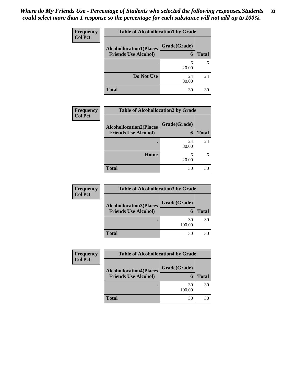| Frequency      | <b>Table of Alcohollocation1 by Grade</b>                     |                   |              |
|----------------|---------------------------------------------------------------|-------------------|--------------|
| <b>Col Pct</b> | <b>Alcohollocation1(Places</b><br><b>Friends Use Alcohol)</b> | Grade(Grade)<br>6 | <b>Total</b> |
|                |                                                               | 6<br>20.00        | 6            |
|                | Do Not Use                                                    | 24<br>80.00       | 24           |
|                | <b>Total</b>                                                  | 30                | 30           |

| <b>Frequency</b> | <b>Table of Alcohollocation2 by Grade</b>                     |                   |              |
|------------------|---------------------------------------------------------------|-------------------|--------------|
| <b>Col Pct</b>   | <b>Alcohollocation2(Places</b><br><b>Friends Use Alcohol)</b> | Grade(Grade)<br>6 | <b>Total</b> |
|                  |                                                               | 24<br>80.00       | 24           |
|                  | Home                                                          | 6<br>20.00        |              |
|                  | <b>Total</b>                                                  | 30                | 30           |

| <b>Frequency</b> | <b>Table of Alcohollocation 3 by Grade</b> |              |              |
|------------------|--------------------------------------------|--------------|--------------|
| <b>Col Pct</b>   | <b>Alcohollocation3(Places</b>             | Grade(Grade) |              |
|                  | <b>Friends Use Alcohol)</b>                | $\mathbf{r}$ | <b>Total</b> |
|                  |                                            | 30<br>100.00 | 30           |
|                  | <b>Total</b>                               | 30           |              |

| Frequency      | <b>Table of Alcohollocation4 by Grade</b> |              |              |
|----------------|-------------------------------------------|--------------|--------------|
| <b>Col Pct</b> | <b>Alcohollocation4(Places</b>            | Grade(Grade) |              |
|                | <b>Friends Use Alcohol)</b>               | 6            | <b>Total</b> |
|                |                                           | 30<br>100.00 | 30           |
|                | <b>Total</b>                              | 30           | 30           |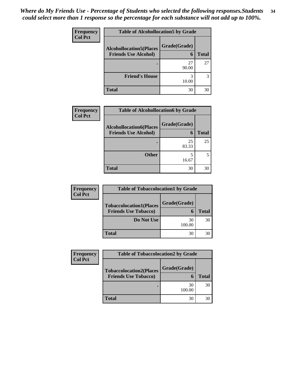| Frequency      | <b>Table of Alcohollocation5 by Grade</b> |              |              |  |
|----------------|-------------------------------------------|--------------|--------------|--|
| <b>Col Pct</b> | <b>Alcohollocation5(Places</b>            | Grade(Grade) |              |  |
|                | <b>Friends Use Alcohol)</b>               | 6            | <b>Total</b> |  |
|                |                                           | 27<br>90.00  | 27           |  |
|                | <b>Friend's House</b>                     | 3<br>10.00   | 3            |  |
|                | <b>Total</b>                              | 30           | 30           |  |

| <b>Frequency</b> | <b>Table of Alcohollocation6 by Grade</b>                     |                   |              |
|------------------|---------------------------------------------------------------|-------------------|--------------|
| <b>Col Pct</b>   | <b>Alcohollocation6(Places</b><br><b>Friends Use Alcohol)</b> | Grade(Grade)<br>6 | <b>Total</b> |
|                  |                                                               | 25<br>83.33       | 25           |
|                  | <b>Other</b>                                                  | 5<br>16.67        |              |
|                  | <b>Total</b>                                                  | 30                | 30           |

| <b>Frequency</b>                                 | <b>Table of Tobaccolocation1 by Grade</b> |              |              |
|--------------------------------------------------|-------------------------------------------|--------------|--------------|
| <b>Col Pct</b><br><b>Tobaccolocation1(Places</b> | Grade(Grade)                              |              |              |
|                                                  | <b>Friends Use Tobacco)</b>               | 6            | <b>Total</b> |
|                                                  | Do Not Use                                | 30<br>100.00 | 30           |
|                                                  | <b>Total</b>                              | 30           | 30           |

| <b>Frequency</b> | <b>Table of Tobaccolocation2 by Grade</b> |              |              |
|------------------|-------------------------------------------|--------------|--------------|
| <b>Col Pct</b>   | <b>Tobaccolocation2(Places</b>            | Grade(Grade) |              |
|                  | <b>Friends Use Tobacco)</b>               | 6            | <b>Total</b> |
|                  |                                           | 30<br>100.00 | 30           |
|                  | <b>Total</b>                              | 30           | 30           |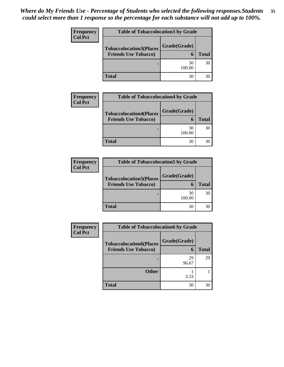| <b>Frequency</b> | <b>Table of Tobaccolocation3 by Grade</b> |              |              |
|------------------|-------------------------------------------|--------------|--------------|
| <b>Col Pct</b>   | <b>Tobaccolocation3(Places</b>            | Grade(Grade) |              |
|                  | <b>Friends Use Tobacco)</b>               | 6            | <b>Total</b> |
|                  |                                           | 30<br>100.00 | 30           |
|                  | <b>Total</b>                              | 30           | 30           |

| <b>Frequency</b> | <b>Table of Tobaccolocation4 by Grade</b> |              |              |
|------------------|-------------------------------------------|--------------|--------------|
| <b>Col Pct</b>   | <b>Tobaccolocation4(Places</b>            | Grade(Grade) |              |
|                  | <b>Friends Use Tobacco)</b>               | 6            | <b>Total</b> |
|                  |                                           | 30<br>100.00 | 30           |
|                  | <b>Total</b>                              | 30           |              |

| <b>Frequency</b> | <b>Table of Tobaccolocation5 by Grade</b> |              |              |
|------------------|-------------------------------------------|--------------|--------------|
| <b>Col Pct</b>   | <b>Tobaccolocation5(Places</b>            | Grade(Grade) |              |
|                  | <b>Friends Use Tobacco)</b>               | h            | <b>Total</b> |
|                  |                                           | 30<br>100.00 | 30           |
|                  | <b>Total</b>                              | 30           |              |

| <b>Frequency</b> | <b>Table of Tobaccolocation6 by Grade</b>                     |                   |              |
|------------------|---------------------------------------------------------------|-------------------|--------------|
| <b>Col Pct</b>   | <b>Tobaccolocation6(Places</b><br><b>Friends Use Tobacco)</b> | Grade(Grade)<br>6 | <b>Total</b> |
|                  |                                                               | 29<br>96.67       | 29           |
|                  | <b>Other</b>                                                  | 3.33              |              |
|                  | <b>Total</b>                                                  | 30                | 30           |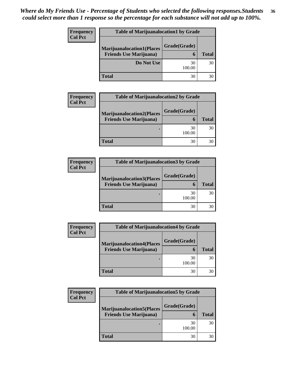| Frequency      | <b>Table of Marijuanalocation1 by Grade</b> |              |              |
|----------------|---------------------------------------------|--------------|--------------|
| <b>Col Pct</b> | <b>Marijuanalocation1(Places</b>            | Grade(Grade) |              |
|                | <b>Friends Use Marijuana</b> )              | 6            | <b>Total</b> |
|                | Do Not Use                                  | 30<br>100.00 | 30           |
|                | <b>Total</b>                                | 30           | 30           |

| <b>Frequency</b> | <b>Table of Marijuanalocation2 by Grade</b> |              |              |
|------------------|---------------------------------------------|--------------|--------------|
| <b>Col Pct</b>   | <b>Marijuanalocation2(Places</b>            | Grade(Grade) |              |
|                  | <b>Friends Use Marijuana</b> )              | 6            | <b>Total</b> |
|                  |                                             | 30<br>100.00 | 30           |
|                  | <b>Total</b>                                | 30           | 30           |

| <b>Frequency</b> | <b>Table of Marijuanalocation3 by Grade</b> |              |              |
|------------------|---------------------------------------------|--------------|--------------|
| <b>Col Pct</b>   | <b>Marijuanalocation3(Places</b>            | Grade(Grade) |              |
|                  | <b>Friends Use Marijuana</b> )              | 6            | <b>Total</b> |
|                  |                                             | 30<br>100.00 | 30           |
|                  | <b>Total</b>                                | 30           | 30           |

| <b>Frequency</b> | <b>Table of Marijuanalocation4 by Grade</b> |              |              |
|------------------|---------------------------------------------|--------------|--------------|
| <b>Col Pct</b>   | <b>Marijuanalocation4(Places</b>            | Grade(Grade) |              |
|                  | <b>Friends Use Marijuana</b> )              | 6            | <b>Total</b> |
|                  |                                             | 30<br>100.00 | 30           |
|                  | <b>Total</b>                                | 30           | 30           |

| Frequency      | <b>Table of Marijuanalocation5 by Grade</b> |              |              |
|----------------|---------------------------------------------|--------------|--------------|
| <b>Col Pct</b> | <b>Marijuanalocation5(Places</b>            | Grade(Grade) |              |
|                | <b>Friends Use Marijuana</b> )              | 6            | <b>Total</b> |
|                |                                             | 30<br>100.00 | 30           |
|                | <b>Total</b>                                | 30           | 30           |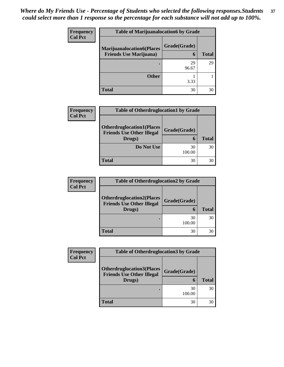| Frequency<br><b>Col Pct</b> |                                                                    | <b>Table of Marijuanalocation6 by Grade</b> |              |  |
|-----------------------------|--------------------------------------------------------------------|---------------------------------------------|--------------|--|
|                             | <b>Marijuanalocation6(Places</b><br><b>Friends Use Marijuana</b> ) | Grade(Grade)<br>6                           | <b>Total</b> |  |
|                             |                                                                    |                                             |              |  |
|                             |                                                                    | 29<br>96.67                                 | 29           |  |
|                             | <b>Other</b>                                                       | 3.33                                        |              |  |
|                             | <b>Total</b>                                                       | 30                                          | 30           |  |

| <b>Frequency</b><br><b>Col Pct</b> | <b>Table of Otherdruglocation1 by Grade</b>                                    |                   |              |
|------------------------------------|--------------------------------------------------------------------------------|-------------------|--------------|
|                                    | <b>Otherdruglocation1(Places</b><br><b>Friends Use Other Illegal</b><br>Drugs) | Grade(Grade)<br>6 | <b>Total</b> |
|                                    | Do Not Use                                                                     | 30<br>100.00      | 30           |
|                                    | <b>Total</b>                                                                   | 30                | 30           |

| <b>Frequency</b> | <b>Table of Otherdruglocation2 by Grade</b>                                    |                   |              |
|------------------|--------------------------------------------------------------------------------|-------------------|--------------|
| <b>Col Pct</b>   | <b>Otherdruglocation2(Places</b><br><b>Friends Use Other Illegal</b><br>Drugs) | Grade(Grade)<br>6 | <b>Total</b> |
|                  |                                                                                | 30<br>100.00      | 30           |
|                  | <b>Total</b>                                                                   | 30                | 30           |

| Frequency      | <b>Table of Otherdruglocation 3 by Grade</b>                                   |              |              |
|----------------|--------------------------------------------------------------------------------|--------------|--------------|
| <b>Col Pct</b> | <b>Otherdruglocation3(Places</b><br><b>Friends Use Other Illegal</b><br>Drugs) | Grade(Grade) | <b>Total</b> |
|                |                                                                                | 30<br>100.00 | 30           |
|                | <b>Total</b>                                                                   | 30           | 30           |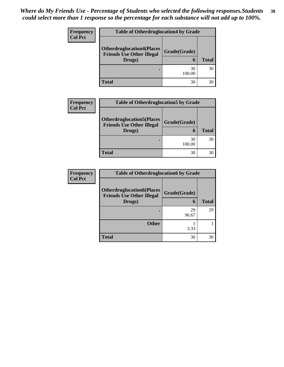| <b>Frequency</b> | <b>Table of Otherdruglocation4 by Grade</b>                          |              |              |
|------------------|----------------------------------------------------------------------|--------------|--------------|
| <b>Col Pct</b>   |                                                                      |              |              |
|                  | <b>Otherdruglocation4(Places</b><br><b>Friends Use Other Illegal</b> | Grade(Grade) |              |
|                  | Drugs)                                                               | 6            | <b>Total</b> |
|                  |                                                                      | 30<br>100.00 | 30           |
|                  | Total                                                                | 30           | 30           |

| <b>Frequency</b> | <b>Table of Otherdruglocation5 by Grade</b>                                    |                             |              |
|------------------|--------------------------------------------------------------------------------|-----------------------------|--------------|
| <b>Col Pct</b>   | <b>Otherdruglocation5(Places</b><br><b>Friends Use Other Illegal</b><br>Drugs) | Grade(Grade)<br>$\mathbf 6$ | <b>Total</b> |
|                  |                                                                                | 30<br>100.00                | 30           |
|                  | <b>Total</b>                                                                   | 30                          |              |

| <b>Frequency</b> | <b>Table of Otherdruglocation6 by Grade</b>                                    |                   |              |
|------------------|--------------------------------------------------------------------------------|-------------------|--------------|
| <b>Col Pct</b>   | <b>Otherdruglocation6(Places</b><br><b>Friends Use Other Illegal</b><br>Drugs) | Grade(Grade)<br>6 | <b>Total</b> |
|                  |                                                                                | 29<br>96.67       | 29           |
|                  | <b>Other</b>                                                                   | 3.33              |              |
|                  | <b>Total</b>                                                                   | 30                | 30           |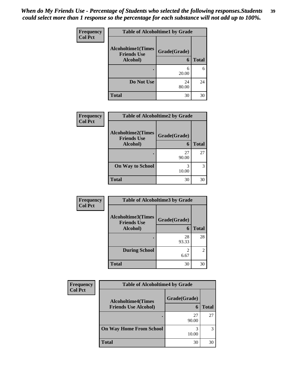| Frequency      | <b>Table of Alcoholtime1 by Grade</b>           |              |              |
|----------------|-------------------------------------------------|--------------|--------------|
| <b>Col Pct</b> | <b>Alcoholtime1(Times</b><br><b>Friends Use</b> | Grade(Grade) |              |
|                | Alcohol)                                        | 6            | <b>Total</b> |
|                |                                                 | 6<br>20.00   | 6            |
|                | Do Not Use                                      | 24<br>80.00  | 24           |
|                | <b>Total</b>                                    | 30           | 30           |

| Frequency      | <b>Table of Alcoholtime2 by Grade</b>                       |                   |              |
|----------------|-------------------------------------------------------------|-------------------|--------------|
| <b>Col Pct</b> | <b>Alcoholtime2(Times</b><br><b>Friends Use</b><br>Alcohol) | Grade(Grade)<br>6 | <b>Total</b> |
|                |                                                             | 27<br>90.00       | 27           |
|                | <b>On Way to School</b>                                     | 3<br>10.00        | 3            |
|                | <b>Total</b>                                                | 30                | 30           |

| Frequency      | <b>Table of Alcoholtime3 by Grade</b>           |              |                |
|----------------|-------------------------------------------------|--------------|----------------|
| <b>Col Pct</b> | <b>Alcoholtime3(Times</b><br><b>Friends Use</b> | Grade(Grade) |                |
|                | Alcohol)                                        | 6            | <b>Total</b>   |
|                |                                                 | 28<br>93.33  | 28             |
|                | <b>During School</b>                            | 6.67         | $\overline{2}$ |
|                | <b>Total</b>                                    | 30           | 30             |

| <b>Frequency</b> | <b>Table of Alcoholtime4 by Grade</b>                    |                   |              |
|------------------|----------------------------------------------------------|-------------------|--------------|
| <b>Col Pct</b>   | <b>Alcoholtime4(Times</b><br><b>Friends Use Alcohol)</b> | Grade(Grade)<br>6 | <b>Total</b> |
|                  |                                                          | 27<br>90.00       | 27           |
|                  | <b>On Way Home From School</b>                           | 10.00             | 3            |
|                  | <b>Total</b>                                             | 30                | 30           |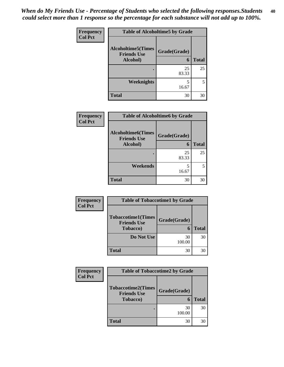| Frequency      | <b>Table of Alcoholtime5 by Grade</b>                       |                   |              |
|----------------|-------------------------------------------------------------|-------------------|--------------|
| <b>Col Pct</b> | <b>Alcoholtime5(Times</b><br><b>Friends Use</b><br>Alcohol) | Grade(Grade)<br>6 | <b>Total</b> |
|                |                                                             | 25<br>83.33       | 25           |
|                | Weeknights                                                  | 5<br>16.67        | 5            |
|                | <b>Total</b>                                                | 30                | 30           |

| Frequency      | <b>Table of Alcoholtime6 by Grade</b>           |              |              |
|----------------|-------------------------------------------------|--------------|--------------|
| <b>Col Pct</b> | <b>Alcoholtime6(Times</b><br><b>Friends Use</b> | Grade(Grade) |              |
|                | Alcohol)                                        | 6            | <b>Total</b> |
|                |                                                 | 25<br>83.33  | 25           |
|                | Weekends                                        | 5<br>16.67   | 5            |
|                | <b>Total</b>                                    | 30           | 30           |
|                |                                                 |              |              |

| Frequency      | <b>Table of Tobaccotime1 by Grade</b>           |              |              |
|----------------|-------------------------------------------------|--------------|--------------|
| <b>Col Pct</b> | <b>Tobaccotime1(Times</b><br><b>Friends Use</b> | Grade(Grade) |              |
|                | <b>Tobacco</b> )                                | 6            | <b>Total</b> |
|                | Do Not Use                                      | 30<br>100.00 | 30           |
|                | <b>Total</b>                                    | 30           | 30           |

| <b>Frequency</b> | <b>Table of Tobaccotime2 by Grade</b>           |              |              |
|------------------|-------------------------------------------------|--------------|--------------|
| <b>Col Pct</b>   | <b>Tobaccotime2(Times</b><br><b>Friends Use</b> | Grade(Grade) |              |
|                  | <b>Tobacco</b> )                                | 6            | <b>Total</b> |
|                  |                                                 | 30<br>100.00 | 30           |
|                  | <b>Total</b>                                    | 30           | 30           |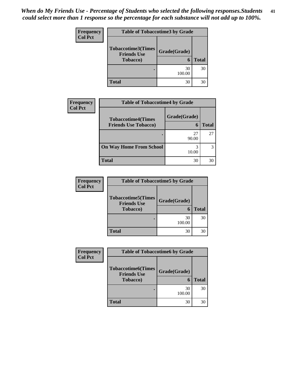| <b>Frequency</b> | <b>Table of Tobaccotime3 by Grade</b>                               |                   |              |
|------------------|---------------------------------------------------------------------|-------------------|--------------|
| <b>Col Pct</b>   | <b>Tobaccotime3(Times</b><br><b>Friends Use</b><br><b>Tobacco</b> ) | Grade(Grade)<br>6 | <b>Total</b> |
|                  |                                                                     | 30<br>100.00      | 30           |
|                  | <b>Total</b>                                                        | 30                | 30           |

| Frequency      | <b>Table of Tobaccotime4 by Grade</b>                    |                   |       |  |
|----------------|----------------------------------------------------------|-------------------|-------|--|
| <b>Col Pct</b> | <b>Tobaccotime4(Times</b><br><b>Friends Use Tobacco)</b> | Grade(Grade)<br>6 | Total |  |
|                |                                                          | 27<br>90.00       | 27    |  |
|                | <b>On Way Home From School</b>                           | 10.00             |       |  |
|                | <b>Total</b>                                             | 30                | 30    |  |

| <b>Frequency</b> | <b>Table of Tobaccotime5 by Grade</b>           |              |              |
|------------------|-------------------------------------------------|--------------|--------------|
| Col Pct          |                                                 |              |              |
|                  | <b>Tobaccotime5(Times</b><br><b>Friends Use</b> | Grade(Grade) |              |
|                  | <b>Tobacco</b> )                                | 6            | <b>Total</b> |
|                  |                                                 | 30<br>100.00 | 30           |
|                  | <b>Total</b>                                    | 30           | 30           |

| <b>Frequency</b> | <b>Table of Tobaccotime6 by Grade</b>           |              |              |
|------------------|-------------------------------------------------|--------------|--------------|
| <b>Col Pct</b>   | <b>Tobaccotime6(Times</b><br><b>Friends Use</b> | Grade(Grade) |              |
|                  | <b>Tobacco</b> )                                | 6            | <b>Total</b> |
|                  |                                                 | 30<br>100.00 | 30           |
|                  | <b>Total</b>                                    | 30           | 30           |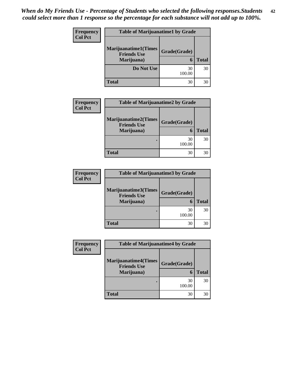| <b>Frequency</b><br><b>Col Pct</b> | <b>Table of Marijuanatime1 by Grade</b>           |              |              |
|------------------------------------|---------------------------------------------------|--------------|--------------|
|                                    | <b>Marijuanatime1(Times</b><br><b>Friends Use</b> | Grade(Grade) |              |
|                                    | Marijuana)                                        | 6            | <b>Total</b> |
|                                    | Do Not Use                                        | 30<br>100.00 | 30           |
|                                    | <b>Total</b>                                      | 30           | 30           |

| <b>Frequency</b> | <b>Table of Marijuanatime2 by Grade</b>           |              |              |
|------------------|---------------------------------------------------|--------------|--------------|
| <b>Col Pct</b>   | <b>Marijuanatime2(Times</b><br><b>Friends Use</b> | Grade(Grade) |              |
|                  | Marijuana)                                        |              | <b>Total</b> |
|                  |                                                   | 30<br>100.00 | 30           |
|                  | <b>Total</b>                                      | 30           | 30           |

| <b>Frequency</b> | <b>Table of Marijuanatime3 by Grade</b>    |              |              |
|------------------|--------------------------------------------|--------------|--------------|
| <b>Col Pct</b>   | Marijuanatime3(Times<br><b>Friends Use</b> | Grade(Grade) |              |
|                  | Marijuana)                                 |              | <b>Total</b> |
|                  |                                            | 30<br>100.00 | 30           |
|                  | <b>Total</b>                               | 30           | 30           |

| Frequency      | <b>Table of Marijuanatime4 by Grade</b>                         |                   |              |
|----------------|-----------------------------------------------------------------|-------------------|--------------|
| <b>Col Pct</b> | <b>Marijuanatime4(Times</b><br><b>Friends Use</b><br>Marijuana) | Grade(Grade)<br>6 | <b>Total</b> |
|                |                                                                 | 30<br>100.00      | 30           |
|                | <b>Total</b>                                                    | 30                | 30           |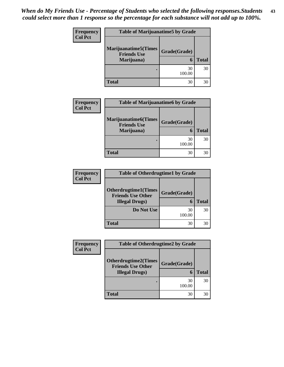| Frequency<br><b>Col Pct</b> | <b>Table of Marijuanatime5 by Grade</b>            |              |              |
|-----------------------------|----------------------------------------------------|--------------|--------------|
|                             | <b>Marijuanatime5</b> (Times<br><b>Friends Use</b> | Grade(Grade) |              |
|                             | Marijuana)                                         | 6            | <b>Total</b> |
|                             |                                                    | 30<br>100.00 | 30           |
|                             | <b>Total</b>                                       | 30           | 30           |

| Frequency      | <b>Table of Marijuanatime6 by Grade</b>                          |                   |              |
|----------------|------------------------------------------------------------------|-------------------|--------------|
| <b>Col Pct</b> | <b>Marijuanatime6</b> (Times<br><b>Friends Use</b><br>Marijuana) | Grade(Grade)<br>6 | <b>Total</b> |
|                |                                                                  | 30<br>100.00      | 30           |
|                | <b>Total</b>                                                     | 30                | 30           |

| <b>Frequency</b> | <b>Table of Otherdrugtime1 by Grade</b>                  |              |              |
|------------------|----------------------------------------------------------|--------------|--------------|
| <b>Col Pct</b>   |                                                          |              |              |
|                  | <b>Otherdrugtime1</b> (Times<br><b>Friends Use Other</b> | Grade(Grade) |              |
|                  | <b>Illegal Drugs</b> )                                   |              | <b>Total</b> |
|                  | <b>Do Not Use</b>                                        | 30<br>100.00 | 30           |
|                  | <b>Total</b>                                             | 30           | 30           |

| <b>Frequency</b> | <b>Table of Otherdrugtime2 by Grade</b>                 |              |              |
|------------------|---------------------------------------------------------|--------------|--------------|
| <b>Col Pct</b>   | <b>Otherdrugtime2(Times</b><br><b>Friends Use Other</b> | Grade(Grade) |              |
|                  | <b>Illegal Drugs</b> )                                  | 6            | <b>Total</b> |
|                  |                                                         | 30<br>100.00 | 30           |
|                  | <b>Total</b>                                            | 30           | 30           |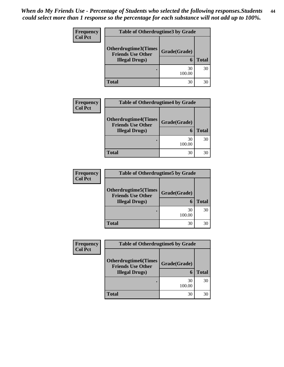| Frequency<br><b>Col Pct</b> | <b>Table of Otherdrugtime3 by Grade</b>                 |              |              |
|-----------------------------|---------------------------------------------------------|--------------|--------------|
|                             | <b>Otherdrugtime3(Times</b><br><b>Friends Use Other</b> | Grade(Grade) |              |
|                             | <b>Illegal Drugs</b> )                                  | 6            | <b>Total</b> |
|                             |                                                         | 30<br>100.00 | 30           |
|                             | Total                                                   | 30           | 30           |

| <b>Frequency</b> | <b>Table of Otherdrugtime4 by Grade</b>                                           |                   |              |
|------------------|-----------------------------------------------------------------------------------|-------------------|--------------|
| <b>Col Pct</b>   | <b>Otherdrugtime4(Times</b><br><b>Friends Use Other</b><br><b>Illegal Drugs</b> ) | Grade(Grade)<br>6 | <b>Total</b> |
|                  |                                                                                   | 30<br>100.00      | 30           |
|                  | <b>Total</b>                                                                      | 30                | 30           |

| <b>Frequency</b> | <b>Table of Otherdrugtime5 by Grade</b>                  |              |              |
|------------------|----------------------------------------------------------|--------------|--------------|
| <b>Col Pct</b>   | <b>Otherdrugtime5</b> (Times<br><b>Friends Use Other</b> | Grade(Grade) |              |
|                  | <b>Illegal Drugs</b> )                                   |              | <b>Total</b> |
|                  |                                                          | 30<br>100.00 | 30           |
|                  | <b>Total</b>                                             | 30           | 30           |

| Frequency      | <b>Table of Otherdrugtime6 by Grade</b>                                            |                   |              |
|----------------|------------------------------------------------------------------------------------|-------------------|--------------|
| <b>Col Pct</b> | <b>Otherdrugtime6</b> (Times<br><b>Friends Use Other</b><br><b>Illegal Drugs</b> ) | Grade(Grade)<br>6 | <b>Total</b> |
|                |                                                                                    | 30<br>100.00      | 30           |
|                | <b>Total</b>                                                                       | 30                | 30           |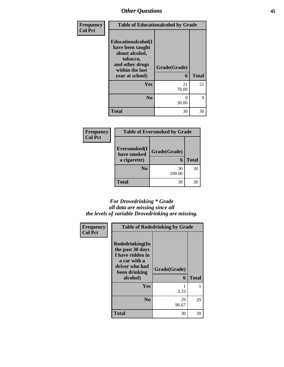| Frequency      |                                                                                                                               | <b>Table of Educationalcohol by Grade</b> |              |
|----------------|-------------------------------------------------------------------------------------------------------------------------------|-------------------------------------------|--------------|
| <b>Col Pct</b> | Educationalcohol(I<br>have been taught<br>about alcohol,<br>tobacco,<br>and other drugs<br>within the last<br>year at school) | Grade(Grade)<br>6                         | <b>Total</b> |
|                | Yes                                                                                                                           | 21<br>70.00                               | 21           |
|                | N <sub>0</sub>                                                                                                                | 9<br>30.00                                | 9            |
|                | <b>Total</b>                                                                                                                  | 30                                        | 30           |

| Frequency      | <b>Table of Eversmoked by Grade</b> |              |              |
|----------------|-------------------------------------|--------------|--------------|
| <b>Col Pct</b> | Eversmoked(I<br>have smoked         | Grade(Grade) |              |
|                | a cigarette)                        | 6            | <b>Total</b> |
|                | N <sub>0</sub>                      | 30<br>100.00 | 30           |
|                | <b>Total</b>                        | 30           | 30           |

## *For Drovedrinking \* Grade all data are missing since all the levels of variable Drovedrinking are missing.*

| Frequency      |                                                                                                                        | <b>Table of Rodedrinking by Grade</b> |              |
|----------------|------------------------------------------------------------------------------------------------------------------------|---------------------------------------|--------------|
| <b>Col Pct</b> | Rodedrinking(In<br>the past 30 days<br>I have ridden in<br>a car with a<br>driver who had<br>been drinking<br>alcohol) | Grade(Grade)<br>6                     | <b>Total</b> |
|                | Yes                                                                                                                    | 3.33                                  | 1            |
|                | N <sub>0</sub>                                                                                                         | 29<br>96.67                           | 29           |
|                | <b>Total</b>                                                                                                           | 30                                    | 30           |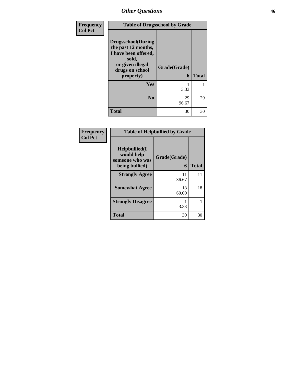| Frequency      |                                                                                                                                        | <b>Table of Drugsschool by Grade</b> |              |
|----------------|----------------------------------------------------------------------------------------------------------------------------------------|--------------------------------------|--------------|
| <b>Col Pct</b> | <b>Drugsschool</b> (During<br>the past 12 months,<br>I have been offered,<br>sold,<br>or given illegal<br>drugs on school<br>property) | Grade(Grade)<br>6                    | <b>Total</b> |
|                | <b>Yes</b>                                                                                                                             | 3.33                                 |              |
|                | N <sub>0</sub>                                                                                                                         | 29<br>96.67                          | 29           |
|                | <b>Total</b>                                                                                                                           | 30                                   | 30           |

| <b>Frequency</b><br>Col Pct |
|-----------------------------|
|                             |

| <b>Table of Helpbullied by Grade</b>              |              |              |  |  |  |
|---------------------------------------------------|--------------|--------------|--|--|--|
| $Helpb$ ullied(I<br>would help<br>someone who was | Grade(Grade) |              |  |  |  |
| being bullied)                                    | 6            | <b>Total</b> |  |  |  |
| <b>Strongly Agree</b>                             | 11<br>36.67  | 11           |  |  |  |
| <b>Somewhat Agree</b>                             | 18<br>60.00  | 18           |  |  |  |
| <b>Strongly Disagree</b>                          | 3.33         |              |  |  |  |
| <b>Total</b>                                      | 30           |              |  |  |  |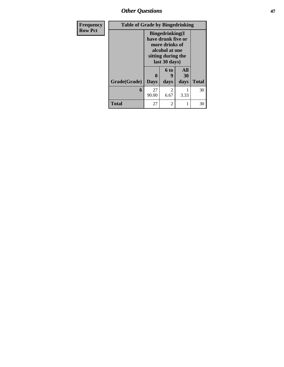*Other Questions* **47**

| <b>Frequency</b> | <b>Table of Grade by Bingedrinking</b> |             |                                                                                                                          |                  |              |  |
|------------------|----------------------------------------|-------------|--------------------------------------------------------------------------------------------------------------------------|------------------|--------------|--|
| <b>Row Pct</b>   |                                        |             | <b>Bingedrinking</b> (I<br>have drunk five or<br>more drinks of<br>alcohol at one<br>sitting during the<br>last 30 days) |                  |              |  |
|                  |                                        |             | 6 to<br>9                                                                                                                | <b>All</b><br>30 |              |  |
|                  | Grade(Grade)                           | <b>Days</b> | days                                                                                                                     | days             | <b>Total</b> |  |
|                  | 6                                      | 27<br>90.00 | 2<br>6.67                                                                                                                | 3.33             | 30           |  |
|                  | <b>Total</b>                           | 27          | 2                                                                                                                        |                  | 30           |  |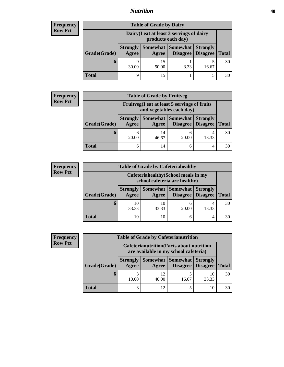# *Nutrition* **48**

| <b>Frequency</b> |
|------------------|
| l Row Pct        |

| <b>Table of Grade by Dairy</b> |                                                                                                                      |                                                                 |      |       |    |  |  |
|--------------------------------|----------------------------------------------------------------------------------------------------------------------|-----------------------------------------------------------------|------|-------|----|--|--|
|                                |                                                                                                                      | Dairy (I eat at least 3 servings of dairy<br>products each day) |      |       |    |  |  |
| Grade(Grade)                   | Somewhat   Somewhat  <br><b>Strongly</b><br><b>Strongly</b><br>Disagree   Disagree<br>Agree<br><b>Total</b><br>Agree |                                                                 |      |       |    |  |  |
| O                              | $\Omega$<br>30.00                                                                                                    | 15<br>50.00                                                     | 3.33 | 16.67 | 30 |  |  |
| Total                          | q                                                                                                                    |                                                                 |      |       | 30 |  |  |

| <b>Frequency</b><br>  Row Pct |
|-------------------------------|
|-------------------------------|

| ncy          | <b>Table of Grade by Fruitveg</b> |                          |                                                                          |                               |                                    |              |  |  |
|--------------|-----------------------------------|--------------------------|--------------------------------------------------------------------------|-------------------------------|------------------------------------|--------------|--|--|
| $\mathsf{t}$ |                                   |                          | Fruitveg(I eat at least 5 servings of fruits<br>and vegetables each day) |                               |                                    |              |  |  |
|              | Grade(Grade)                      | <b>Strongly</b><br>Agree | Agree                                                                    | Somewhat Somewhat<br>Disagree | <b>Strongly</b><br><b>Disagree</b> | <b>Total</b> |  |  |
|              | n                                 | 20.00                    | 14<br>46.67                                                              | 20.00                         | 13.33                              | 30           |  |  |
|              | Total                             |                          | 14                                                                       |                               | 4                                  | 30           |  |  |

| <b>Frequency</b> |  |
|------------------|--|
| <b>Row Pct</b>   |  |

| <b>Table of Grade by Cafeteriahealthy</b> |                                                                       |             |                     |                                        |              |  |  |
|-------------------------------------------|-----------------------------------------------------------------------|-------------|---------------------|----------------------------------------|--------------|--|--|
|                                           | Cafeteriahealthy (School meals in my<br>school cafeteria are healthy) |             |                     |                                        |              |  |  |
| Grade(Grade)                              | <b>Strongly</b><br>Agree                                              | Agree       | Somewhat   Somewhat | <b>Strongly</b><br>Disagree   Disagree | <b>Total</b> |  |  |
| O                                         | 10<br>33.33                                                           | 10<br>33.33 | 20.00               | 13.33                                  | 30           |  |  |
| <b>Total</b>                              | 10                                                                    | 10          |                     | 4                                      | 30           |  |  |

| <b>Frequency</b> |
|------------------|
| <b>Row Pct</b>   |

|              |                          |                                                                                           | <b>Table of Grade by Cafeterianutrition</b> |                                    |              |  |  |  |
|--------------|--------------------------|-------------------------------------------------------------------------------------------|---------------------------------------------|------------------------------------|--------------|--|--|--|
|              |                          | <b>Cafeterianutrition</b> (Facts about nutrition<br>are available in my school cafeteria) |                                             |                                    |              |  |  |  |
| Grade(Grade) | <b>Strongly</b><br>Agree | Agree                                                                                     | Somewhat Somewhat<br>Disagree               | <b>Strongly</b><br><b>Disagree</b> | <b>Total</b> |  |  |  |
| <sub>0</sub> | 10.00                    | 12<br>40.00                                                                               | 16.67                                       | 10<br>33.33                        | 30           |  |  |  |
| <b>Total</b> | 3                        | 12.                                                                                       |                                             | 10                                 | 30           |  |  |  |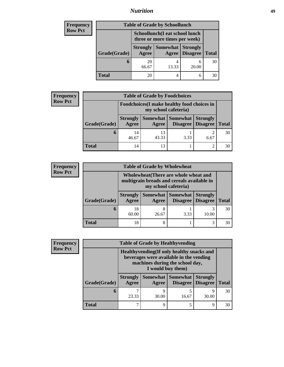# *Nutrition* **49**

| Frequency      | <b>Table of Grade by Schoollunch</b>                            |                          |                          |                                    |              |  |
|----------------|-----------------------------------------------------------------|--------------------------|--------------------------|------------------------------------|--------------|--|
| <b>Row Pct</b> | Schoollunch(I eat school lunch<br>three or more times per week) |                          |                          |                                    |              |  |
|                | Grade(Grade)                                                    | <b>Strongly</b><br>Agree | <b>Somewhat</b><br>Agree | <b>Strongly</b><br><b>Disagree</b> | <b>Total</b> |  |
|                | 6                                                               | 20<br>66.67              | 4<br>13.33               | 20.00                              | 30           |  |
|                | Total                                                           | 20                       | 4                        | 6                                  | 30           |  |

| <b>Frequency</b> | <b>Table of Grade by Foodchoices</b> |                                                                     |             |                   |                                        |              |  |
|------------------|--------------------------------------|---------------------------------------------------------------------|-------------|-------------------|----------------------------------------|--------------|--|
| <b>Row Pct</b>   |                                      | Foodchoices (I make healthy food choices in<br>my school cafeteria) |             |                   |                                        |              |  |
|                  | Grade(Grade)                         | <b>Strongly</b><br>Agree                                            | Agree       | Somewhat Somewhat | <b>Strongly</b><br>Disagree   Disagree | <b>Total</b> |  |
|                  | 6                                    | 14<br>46.67                                                         | 13<br>43.33 | 3.33              | 6.67                                   | 30           |  |
|                  | <b>Total</b>                         | 14                                                                  | 13          |                   | 2                                      | 30           |  |

| <b>Frequency</b> |  |
|------------------|--|
| <b>Row Pct</b>   |  |

| $\mathbf{c}\mathbf{v}$ | <b>Table of Grade by Wholewheat</b>                                                                         |                          |            |                                              |                 |              |
|------------------------|-------------------------------------------------------------------------------------------------------------|--------------------------|------------|----------------------------------------------|-----------------|--------------|
|                        | Wholewheat (There are whole wheat and<br>multigrain breads and cereals available in<br>my school cafeteria) |                          |            |                                              |                 |              |
|                        | Grade(Grade)                                                                                                | <b>Strongly</b><br>Agree | Agree      | Somewhat   Somewhat  <br>Disagree   Disagree | <b>Strongly</b> | <b>Total</b> |
|                        | 6                                                                                                           | 18<br>60.00              | 8<br>26.67 | 3.33                                         | 10.00           | 30           |
|                        | <b>Total</b>                                                                                                | 18                       | 8          |                                              | 3               | 30           |

**Frequency Row Pct**

|              |   |                                                                                                                                               | <b>Table of Grade by Healthyvending</b> |                             |                                    |              |  |
|--------------|---|-----------------------------------------------------------------------------------------------------------------------------------------------|-----------------------------------------|-----------------------------|------------------------------------|--------------|--|
|              |   | Healthyvending (If only healthy snacks and<br>beverages were available in the vending<br>machines during the school day,<br>I would buy them) |                                         |                             |                                    |              |  |
| Grade(Grade) |   | <b>Strongly</b><br>Agree                                                                                                                      | Somewhat  <br>Agree                     | <b>Somewhat</b><br>Disagree | <b>Strongly</b><br><b>Disagree</b> | <b>Total</b> |  |
|              | 6 | 23.33                                                                                                                                         | 9<br>30.00                              | 16.67                       | Q<br>30.00                         | 30           |  |
| <b>Total</b> |   |                                                                                                                                               | 9                                       |                             | Q                                  | 30           |  |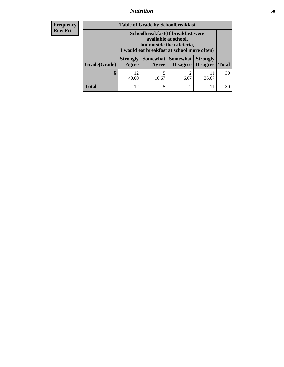# *Nutrition* **50**

| <b>Frequency</b><br><b>Row Pct</b> |
|------------------------------------|
|------------------------------------|

| <b>Table of Grade by Schoolbreakfast</b> |                                                                                                                                         |            |                                      |                                    |              |  |
|------------------------------------------|-----------------------------------------------------------------------------------------------------------------------------------------|------------|--------------------------------------|------------------------------------|--------------|--|
|                                          | Schoolbreakfast (If breakfast were<br>available at school,<br>but outside the cafeteria,<br>I would eat breakfast at school more often) |            |                                      |                                    |              |  |
| Grade(Grade)                             | <b>Strongly</b><br>Agree                                                                                                                | Agree      | <b>Somewhat Somewhat</b><br>Disagree | <b>Strongly</b><br><b>Disagree</b> | <b>Total</b> |  |
| 6                                        | 12<br>40.00                                                                                                                             | 5<br>16.67 | $\overline{2}$<br>6.67               | 11<br>36.67                        | 30           |  |
| <b>Total</b>                             | 12                                                                                                                                      |            | 2                                    |                                    | 30           |  |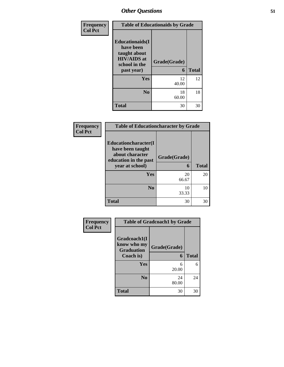| Frequency      |                                                                                                           | <b>Table of Educationaids by Grade</b> |              |
|----------------|-----------------------------------------------------------------------------------------------------------|----------------------------------------|--------------|
| <b>Col Pct</b> | <b>Educationaids</b> (I<br>have been<br>taught about<br><b>HIV/AIDS</b> at<br>school in the<br>past year) | Grade(Grade)<br>6                      | <b>Total</b> |
|                | Yes                                                                                                       | 12<br>40.00                            | 12           |
|                | N <sub>0</sub>                                                                                            | 18<br>60.00                            | 18           |
|                | <b>Total</b>                                                                                              | 30                                     | 30           |

| Frequency      | <b>Table of Educationcharacter by Grade</b>                                                             |                   |              |  |  |
|----------------|---------------------------------------------------------------------------------------------------------|-------------------|--------------|--|--|
| <b>Col Pct</b> | Educationcharacter(I<br>have been taught<br>about character<br>education in the past<br>year at school) | Grade(Grade)<br>6 | <b>Total</b> |  |  |
|                | <b>Yes</b>                                                                                              | 20<br>66.67       | 20           |  |  |
|                | N <sub>0</sub>                                                                                          | 10<br>33.33       | 10           |  |  |
|                | <b>Total</b>                                                                                            | 30                | 30           |  |  |

| Frequency<br><b>Col Pct</b> | <b>Table of Gradcoach1 by Grade</b>              |              |              |  |  |
|-----------------------------|--------------------------------------------------|--------------|--------------|--|--|
|                             | Gradcoach1(I<br>know who my<br><b>Graduation</b> | Grade(Grade) |              |  |  |
|                             | Coach is)                                        | 6            | <b>Total</b> |  |  |
|                             | Yes                                              | 6<br>20.00   | 6            |  |  |
|                             | N <sub>0</sub>                                   | 24<br>80.00  | 24           |  |  |
|                             | <b>Total</b>                                     | 30           | 30           |  |  |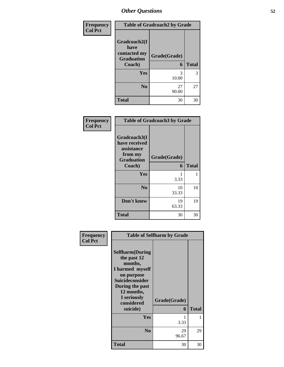| Frequency      |                                                           | <b>Table of Gradcoach2 by Grade</b> |              |
|----------------|-----------------------------------------------------------|-------------------------------------|--------------|
| <b>Col Pct</b> | Gradcoach2(I<br>have<br>contacted my<br><b>Graduation</b> | Grade(Grade)                        |              |
|                | Coach)                                                    | 6                                   | <b>Total</b> |
|                | Yes                                                       | 3<br>10.00                          | 3            |
|                | N <sub>0</sub>                                            | 27<br>90.00                         | 27           |
|                | <b>Total</b>                                              | 30                                  | 30           |

| Frequency<br><b>Col Pct</b> | <b>Table of Gradcoach3 by Grade</b>                                                   |                   |              |  |  |
|-----------------------------|---------------------------------------------------------------------------------------|-------------------|--------------|--|--|
|                             | Gradcoach3(I<br>have received<br>assistance<br>from my<br><b>Graduation</b><br>Coach) | Grade(Grade)<br>6 | <b>Total</b> |  |  |
|                             |                                                                                       |                   |              |  |  |
|                             | Yes                                                                                   | 3.33              | 1            |  |  |
|                             | N <sub>0</sub>                                                                        | 10<br>33.33       | 10           |  |  |
|                             | Don't know                                                                            | 19<br>63.33       | 19           |  |  |
|                             | <b>Total</b>                                                                          | 30                | 30           |  |  |

| Frequency      |                                                                                                                                                                                 | <b>Table of Selfharm by Grade</b> |              |
|----------------|---------------------------------------------------------------------------------------------------------------------------------------------------------------------------------|-----------------------------------|--------------|
| <b>Col Pct</b> | <b>Selfharm</b> (During<br>the past 12<br>months,<br>I harmed myself<br>on purpose<br>Suicideconsider<br>During the past<br>12 months,<br>I seriously<br>considered<br>suicide) | Grade(Grade)<br>6                 | <b>Total</b> |
|                | Yes                                                                                                                                                                             | 3.33                              |              |
|                | N <sub>0</sub>                                                                                                                                                                  | 29<br>96.67                       | 29           |
|                | <b>Total</b>                                                                                                                                                                    | 30                                | 30           |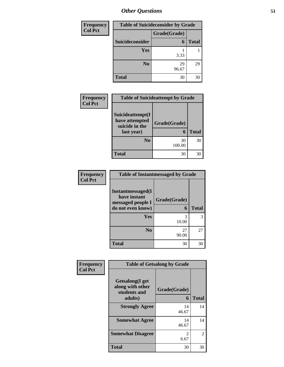| Frequency      |                 | <b>Table of Suicideconsider by Grade</b> |              |  |  |
|----------------|-----------------|------------------------------------------|--------------|--|--|
| <b>Col Pct</b> |                 | Grade(Grade)                             |              |  |  |
|                | Suicideconsider | 6                                        | <b>Total</b> |  |  |
|                | <b>Yes</b>      | 3.33                                     |              |  |  |
|                | N <sub>0</sub>  | 29<br>96.67                              | 29           |  |  |
|                | <b>Total</b>    | 30                                       | 30           |  |  |

| Frequency      | <b>Table of Suicideattempt by Grade</b>                            |              |              |  |  |
|----------------|--------------------------------------------------------------------|--------------|--------------|--|--|
| <b>Col Pct</b> | Suicideattempt(I<br>have attempted<br>suicide in the<br>last year) | Grade(Grade) | <b>Total</b> |  |  |
|                | N <sub>0</sub>                                                     | 30<br>100.00 | 30           |  |  |
|                | <b>Total</b>                                                       | 30           | 30           |  |  |

| <b>Frequency</b> | <b>Table of</b>                |
|------------------|--------------------------------|
| <b>Col Pct</b>   | <b>Instantmess</b><br>have ins |
|                  | hanaaa                         |

| <b>Table of Instantmessaged by Grade</b>                |              |              |  |
|---------------------------------------------------------|--------------|--------------|--|
| Instantmessaged(I)<br>have instant<br>messaged people I | Grade(Grade) |              |  |
| do not even know)                                       | 6            | <b>Total</b> |  |
| <b>Yes</b>                                              | 3<br>10.00   |              |  |
| N <sub>0</sub>                                          | 27<br>90.00  | 27           |  |
| <b>Total</b>                                            | 30           |              |  |

| Frequency      | <b>Table of Getsalong by Grade</b>                             |                   |              |  |  |
|----------------|----------------------------------------------------------------|-------------------|--------------|--|--|
| <b>Col Pct</b> | Getsalong(I get<br>along with other<br>students and<br>adults) | Grade(Grade)<br>6 | <b>Total</b> |  |  |
|                | <b>Strongly Agree</b>                                          | 14<br>46.67       | 14           |  |  |
|                | <b>Somewhat Agree</b>                                          | 14<br>46.67       | 14           |  |  |
|                | <b>Somewhat Disagree</b>                                       | 2<br>6.67         | 2            |  |  |
|                | <b>Total</b>                                                   | 30                | 30           |  |  |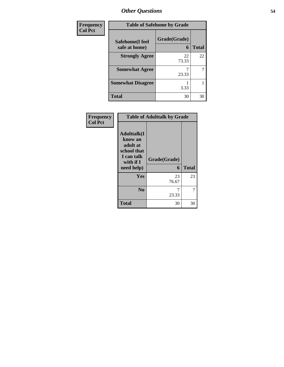| Frequency      | <b>Table of Safehome by Grade</b> |              |       |  |  |
|----------------|-----------------------------------|--------------|-------|--|--|
| <b>Col Pct</b> | Safehome(I feel<br>safe at home)  | Grade(Grade) | Total |  |  |
|                | <b>Strongly Agree</b>             | 22<br>73.33  | 22    |  |  |
|                | <b>Somewhat Agree</b>             | 23.33        | 7     |  |  |
|                | <b>Somewhat Disagree</b>          | 3.33         |       |  |  |
|                | <b>Total</b>                      | 30           | 30    |  |  |

| Frequency      | <b>Table of Adulttalk by Grade</b>                                                                |                   |              |  |  |  |
|----------------|---------------------------------------------------------------------------------------------------|-------------------|--------------|--|--|--|
| <b>Col Pct</b> | <b>Adulttalk(I</b><br>know an<br>adult at<br>school that<br>I can talk<br>with if I<br>need help) | Grade(Grade)<br>6 | <b>Total</b> |  |  |  |
|                | <b>Yes</b>                                                                                        | 23<br>76.67       | 23           |  |  |  |
|                | N <sub>0</sub>                                                                                    | 23.33             | 7            |  |  |  |
|                | <b>Total</b>                                                                                      | 30                | 30           |  |  |  |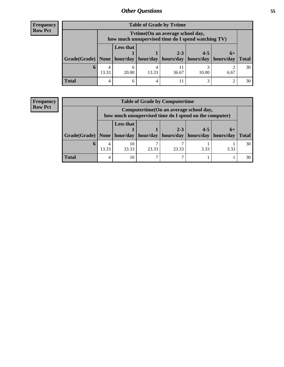## **Frequency Row Pct**

| <b>Table of Grade by Tytime</b>                                               |       |                                                                                        |       |         |         |      |              |
|-------------------------------------------------------------------------------|-------|----------------------------------------------------------------------------------------|-------|---------|---------|------|--------------|
|                                                                               |       | Tvtime(On an average school day,<br>how much unsupervised time do I spend watching TV) |       |         |         |      |              |
| Grade(Grade)   None   hour/day   hour/day   hours/day   hours/day   hours/day |       | <b>Less that</b>                                                                       |       | $2 - 3$ | $4 - 5$ | $6+$ | <b>Total</b> |
| O                                                                             | 13.33 | 6<br>20.00                                                                             | 13.33 | 36.67   | 10.00   | 6.67 | 30           |
| <b>Total</b>                                                                  | 4     | 6                                                                                      |       |         |         |      | 30           |

## **Frequency Row Pct**

| <b>Table of Grade by Computertime</b> |       |                                                                                                                                                       |       |       |      |      |    |
|---------------------------------------|-------|-------------------------------------------------------------------------------------------------------------------------------------------------------|-------|-------|------|------|----|
|                                       |       | Computertime (On an average school day,<br>how much unsupervised time do I spend on the computer)                                                     |       |       |      |      |    |
|                                       |       | <b>Less that</b><br>$2 - 3$<br>$-4-5$<br>$6+$<br>$hour/day$   hours/day<br>hours/day<br>Grade(Grade)   None   hour/day<br>  hours/day<br><b>Total</b> |       |       |      |      |    |
| $\mathbf 0$                           | 13.33 | 10<br>33.33                                                                                                                                           | 23.33 | 23.33 | 3.33 | 3.33 | 30 |
| <b>Total</b>                          | 4     | 10                                                                                                                                                    | ⇁     |       |      |      | 30 |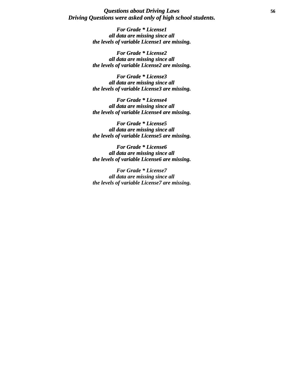## *Questions about Driving Laws* **56** *Driving Questions were asked only of high school students.*

*For Grade \* License1 all data are missing since all the levels of variable License1 are missing.*

*For Grade \* License2 all data are missing since all the levels of variable License2 are missing.*

*For Grade \* License3 all data are missing since all the levels of variable License3 are missing.*

*For Grade \* License4 all data are missing since all the levels of variable License4 are missing.*

*For Grade \* License5 all data are missing since all the levels of variable License5 are missing.*

*For Grade \* License6 all data are missing since all the levels of variable License6 are missing.*

*For Grade \* License7 all data are missing since all the levels of variable License7 are missing.*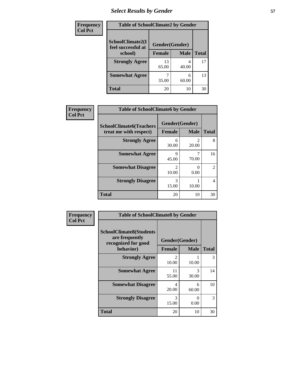# *Select Results by Gender* **57**

| <b>Frequency</b> | <b>Table of SchoolClimate2 by Gender</b> |                |             |              |
|------------------|------------------------------------------|----------------|-------------|--------------|
| <b>Col Pct</b>   | SchoolClimate2(I<br>feel successful at   | Gender(Gender) |             |              |
|                  | school)                                  | <b>Female</b>  | <b>Male</b> | <b>Total</b> |
|                  | <b>Strongly Agree</b>                    | 13<br>65.00    | 40.00       | 17           |
|                  | <b>Somewhat Agree</b>                    | 35.00          | 6<br>60.00  | 13           |
|                  | <b>Total</b>                             | 20             | 10          | 30           |

| Frequency      | <b>Table of SchoolClimate6 by Gender</b>                 |                                 |             |                |  |
|----------------|----------------------------------------------------------|---------------------------------|-------------|----------------|--|
| <b>Col Pct</b> | <b>SchoolClimate6(Teachers</b><br>treat me with respect) | Gender(Gender)<br><b>Female</b> | <b>Male</b> | <b>Total</b>   |  |
|                | <b>Strongly Agree</b>                                    | 6<br>30.00                      | 2<br>20.00  | 8              |  |
|                | <b>Somewhat Agree</b>                                    | 9<br>45.00                      | 70.00       | 16             |  |
|                | <b>Somewhat Disagree</b>                                 | $\mathfrak{D}$<br>10.00         | 0.00        | $\mathfrak{D}$ |  |
|                | <b>Strongly Disagree</b>                                 | 3<br>15.00                      | 10.00       | $\overline{4}$ |  |
|                | <b>Total</b>                                             | 20                              | 10          | 30             |  |

| <b>Frequency</b> | <b>Table of SchoolClimate8 by Gender</b>                                             |                                 |                           |              |
|------------------|--------------------------------------------------------------------------------------|---------------------------------|---------------------------|--------------|
| <b>Col Pct</b>   | <b>SchoolClimate8(Students</b><br>are frequently<br>recognized for good<br>behavior) | Gender(Gender)<br><b>Female</b> | <b>Male</b>               | <b>Total</b> |
|                  | <b>Strongly Agree</b>                                                                | $\mathfrak{D}$<br>10.00         | 10.00                     | 3            |
|                  | <b>Somewhat Agree</b>                                                                | 11<br>55.00                     | 3<br>30.00                | 14           |
|                  | <b>Somewhat Disagree</b>                                                             | 4<br>20.00                      | 6<br>60.00                | 10           |
|                  | <b>Strongly Disagree</b>                                                             | 3<br>15.00                      | $\mathbf{\Omega}$<br>0.00 | 3            |
|                  | <b>Total</b>                                                                         | 20                              | 10                        | 30           |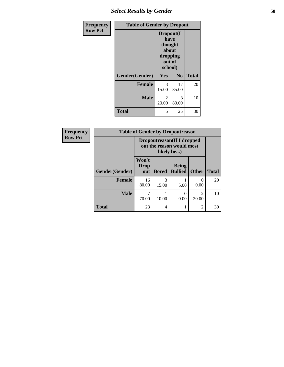| Frequency      | <b>Table of Gender by Dropout</b> |                                                              |                |              |
|----------------|-----------------------------------|--------------------------------------------------------------|----------------|--------------|
| <b>Row Pct</b> |                                   | Dropout(I<br>have<br>thought<br>about<br>dropping<br>school) | out of         |              |
|                | Gender(Gender)                    | Yes                                                          | N <sub>0</sub> | <b>Total</b> |
|                | <b>Female</b>                     | 3<br>15.00                                                   | 17<br>85.00    | 20           |
|                | <b>Male</b>                       | 2<br>20.00                                                   | 8<br>80.00     | 10           |
|                | <b>Total</b>                      | 5                                                            | 25             | 30           |

| Frequency      | <b>Table of Gender by Dropoutreason</b> |                             |                                                                               |                                |                                      |              |
|----------------|-----------------------------------------|-----------------------------|-------------------------------------------------------------------------------|--------------------------------|--------------------------------------|--------------|
| <b>Row Pct</b> |                                         |                             | <b>Dropoutreason</b> (If I dropped<br>out the reason would most<br>likely be) |                                |                                      |              |
|                | Gender(Gender)                          | Won't<br><b>Drop</b><br>out | <b>Bored</b>                                                                  | <b>Being</b><br><b>Bullied</b> | <b>Other</b>                         | <b>Total</b> |
|                | <b>Female</b>                           | 16<br>80.00                 | 3<br>15.00                                                                    | 5.00                           | 0<br>0.00                            | 20           |
|                | <b>Male</b>                             | 7<br>70.00                  | 10.00                                                                         | 0<br>0.00                      | $\mathcal{D}_{\mathcal{A}}$<br>20.00 | 10           |
|                | <b>Total</b>                            | 23                          | 4                                                                             |                                | $\overline{2}$                       | 30           |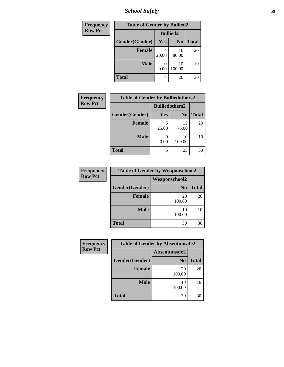*School Safety* **59**

| Frequency      | <b>Table of Gender by Bullied2</b> |                 |                |              |
|----------------|------------------------------------|-----------------|----------------|--------------|
| <b>Row Pct</b> |                                    | <b>Bullied2</b> |                |              |
|                | Gender(Gender)                     | Yes             | N <sub>0</sub> | <b>Total</b> |
|                | <b>Female</b>                      | 20.00           | 16<br>80.00    | 20           |
|                | <b>Male</b>                        | 0.00            | 10<br>100.00   | 10           |
|                | <b>Total</b>                       | 4               | 26             | 30           |

| Frequency      | <b>Table of Gender by Bulliedothers2</b> |                       |                |              |
|----------------|------------------------------------------|-----------------------|----------------|--------------|
| <b>Row Pct</b> |                                          | <b>Bulliedothers2</b> |                |              |
|                | Gender(Gender)                           | Yes                   | N <sub>0</sub> | <b>Total</b> |
|                | <b>Female</b>                            | 5<br>25.00            | 15<br>75.00    | 20           |
|                | <b>Male</b>                              | 0.00                  | 10<br>100.00   | 10           |
|                | <b>Total</b>                             | 5                     | 25             | 30           |

| Frequency      | <b>Table of Gender by Weaponschool2</b> |                      |              |  |  |
|----------------|-----------------------------------------|----------------------|--------------|--|--|
| <b>Row Pct</b> |                                         | <b>Weaponschool2</b> |              |  |  |
|                | Gender(Gender)                          | N <sub>0</sub>       | <b>Total</b> |  |  |
|                | <b>Female</b>                           | 20<br>100.00         | 20           |  |  |
|                | <b>Male</b>                             | 10<br>100.00         | 10           |  |  |
|                | <b>Total</b>                            | 30                   | 30           |  |  |

| <b>Frequency</b> |                | <b>Table of Gender by Absentunsafe2</b> |              |
|------------------|----------------|-----------------------------------------|--------------|
| <b>Row Pct</b>   |                | Absentunsafe2                           |              |
|                  | Gender(Gender) | N <sub>0</sub>                          | <b>Total</b> |
|                  | <b>Female</b>  | 20<br>100.00                            | 20           |
|                  | <b>Male</b>    | 10<br>100.00                            | 10           |
|                  | <b>Total</b>   | 30                                      | 30           |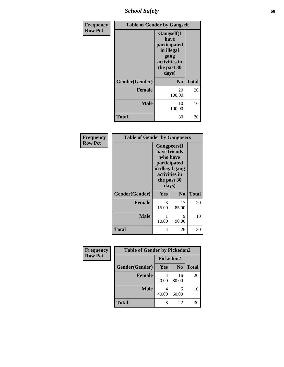*School Safety* **60**

| Frequency      |                | <b>Table of Gender by Gangself</b>                                                                |              |
|----------------|----------------|---------------------------------------------------------------------------------------------------|--------------|
| <b>Row Pct</b> |                | Gangself(I<br>have<br>participated<br>in illegal<br>gang<br>activities in<br>the past 30<br>days) |              |
|                | Gender(Gender) | N <sub>0</sub>                                                                                    | <b>Total</b> |
|                | <b>Female</b>  | 20<br>100.00                                                                                      | 20           |
|                | <b>Male</b>    | 10<br>100.00                                                                                      | 10           |
|                | <b>Total</b>   | 30                                                                                                | 30           |

| Frequency      | <b>Table of Gender by Gangpeers</b> |               |                     |              |
|----------------|-------------------------------------|---------------|---------------------|--------------|
| <b>Row Pct</b> |                                     |               | <b>Gangpeers</b> (I |              |
|                |                                     | have friends  |                     |              |
|                |                                     |               | who have            |              |
|                |                                     | participated  | in illegal gang     |              |
|                |                                     | activities in |                     |              |
|                |                                     | the past 30   |                     |              |
|                |                                     | days)         |                     |              |
|                | Gender(Gender)                      | <b>Yes</b>    | N <sub>0</sub>      | <b>Total</b> |
|                | <b>Female</b>                       | 3             | 17                  | 20           |
|                |                                     | 15.00         | 85.00               |              |
|                | <b>Male</b>                         | 1             | 9                   | 10           |
|                |                                     | 10.00         | 90.00               |              |
|                | Total                               | 4             | 26                  | 30           |
|                |                                     |               |                     |              |

| Frequency      | <b>Table of Gender by Pickedon2</b> |           |                |              |
|----------------|-------------------------------------|-----------|----------------|--------------|
| <b>Row Pct</b> |                                     | Pickedon2 |                |              |
|                | Gender(Gender)                      | Yes       | N <sub>0</sub> | <b>Total</b> |
|                | <b>Female</b>                       | 20.00     | 16<br>80.00    | 20           |
|                | <b>Male</b>                         | 40.00     | 6<br>60.00     | 10           |
|                | <b>Total</b>                        | 8         | 22             | 30           |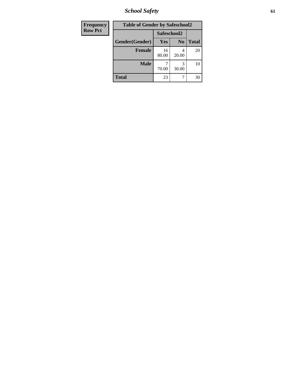*School Safety* **61**

| <b>Frequency</b> | <b>Table of Gender by Safeschool2</b> |             |                |              |
|------------------|---------------------------------------|-------------|----------------|--------------|
| <b>Row Pct</b>   |                                       | Safeschool2 |                |              |
|                  | Gender(Gender)                        | <b>Yes</b>  | N <sub>0</sub> | <b>Total</b> |
|                  | <b>Female</b>                         | 16<br>80.00 | 4<br>20.00     | 20           |
|                  | <b>Male</b>                           | 70.00       | 30.00          | 10           |
|                  | <b>Total</b>                          | 23          |                | 30           |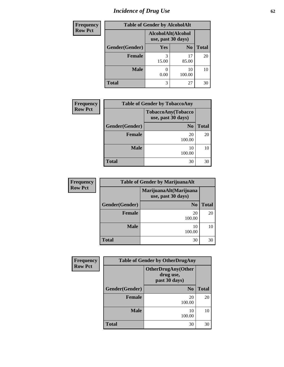# *Incidence of Drug Use* 62

| <b>Frequency</b> |                | <b>Table of Gender by AlcoholAlt</b>     |                |              |
|------------------|----------------|------------------------------------------|----------------|--------------|
| <b>Row Pct</b>   |                | AlcoholAlt(Alcohol<br>use, past 30 days) |                |              |
|                  | Gender(Gender) | Yes                                      | N <sub>0</sub> | <b>Total</b> |
|                  | <b>Female</b>  | 15.00                                    | 17<br>85.00    | 20           |
|                  | <b>Male</b>    | 0.00                                     | 10<br>100.00   | 10           |
|                  | <b>Total</b>   | 3                                        | 27             | 30           |

| <b>Frequency</b> | <b>Table of Gender by TobaccoAny</b>     |                |              |  |  |
|------------------|------------------------------------------|----------------|--------------|--|--|
| <b>Row Pct</b>   | TobaccoAny(Tobacco<br>use, past 30 days) |                |              |  |  |
|                  | Gender(Gender)                           | N <sub>0</sub> | <b>Total</b> |  |  |
|                  | <b>Female</b>                            | 20<br>100.00   | 20           |  |  |
|                  | <b>Male</b>                              | 10<br>100.00   | 10           |  |  |
|                  | <b>Total</b>                             | 30             | 30           |  |  |

| <b>Frequency</b> |                | <b>Table of Gender by MarijuanaAlt</b>       |              |
|------------------|----------------|----------------------------------------------|--------------|
| <b>Row Pct</b>   |                | MarijuanaAlt(Marijuana<br>use, past 30 days) |              |
|                  | Gender(Gender) | N <sub>0</sub>                               | <b>Total</b> |
|                  | Female         | 20<br>100.00                                 | 20           |
|                  | <b>Male</b>    | 10<br>100.00                                 | 10           |
|                  | Total          | 30                                           | 30           |

| Frequency      | <b>Table of Gender by OtherDrugAny</b> |                                                         |              |  |  |
|----------------|----------------------------------------|---------------------------------------------------------|--------------|--|--|
| <b>Row Pct</b> |                                        | <b>OtherDrugAny(Other</b><br>drug use,<br>past 30 days) |              |  |  |
|                | Gender(Gender)                         | N <sub>0</sub>                                          | <b>Total</b> |  |  |
|                | <b>Female</b>                          | 20<br>100.00                                            | 20           |  |  |
|                | <b>Male</b>                            | 10<br>100.00                                            | 10           |  |  |
|                | <b>Total</b>                           | 30                                                      | 30           |  |  |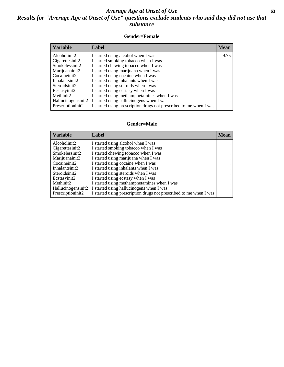# *Average Age at Onset of Use* **63** *Results for "Average Age at Onset of Use" questions exclude students who said they did not use that substance*

## **Gender=Female**

| <b>Variable</b>                 | Label                                                              | <b>Mean</b> |
|---------------------------------|--------------------------------------------------------------------|-------------|
| Alcoholinit2                    | I started using alcohol when I was                                 | 9.75        |
| Cigarettesinit2                 | I started smoking tobacco when I was                               |             |
| Smokelessinit2                  | I started chewing tobacco when I was                               |             |
| Marijuanainit2                  | I started using marijuana when I was                               |             |
| Cocaineinit2                    | I started using cocaine when I was                                 |             |
| Inhalantsinit2                  | I started using inhalants when I was                               |             |
| Steroidsinit2                   | I started using steroids when I was                                |             |
| Ecstasyinit2                    | I started using ecstasy when I was                                 |             |
| Methinit2                       | I started using methamphetamines when I was                        |             |
| Hallucinogensinit2              | I started using hallucinogens when I was                           |             |
| Prescription in it <sub>2</sub> | I started using prescription drugs not prescribed to me when I was |             |

### **Gender=Male**

| <b>Variable</b>                 | Label                                                              | <b>Mean</b> |
|---------------------------------|--------------------------------------------------------------------|-------------|
| Alcoholinit2                    | I started using alcohol when I was                                 |             |
| Cigarettesinit2                 | I started smoking tobacco when I was                               |             |
| Smokelessinit2                  | I started chewing tobacco when I was                               |             |
| Marijuanainit2                  | I started using marijuana when I was                               |             |
| Cocaineinit2                    | I started using cocaine when I was                                 |             |
| Inhalantsinit2                  | I started using inhalants when I was                               |             |
| Steroidsinit2                   | I started using steroids when I was                                |             |
| Ecstasyinit2                    | I started using ecstasy when I was                                 |             |
| Methinit2                       | I started using methamphetamines when I was                        |             |
| Hallucinogensinit2              | I started using hallucinogens when I was                           |             |
| Prescription in it <sub>2</sub> | I started using prescription drugs not prescribed to me when I was |             |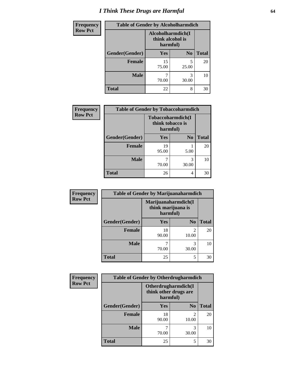# *I Think These Drugs are Harmful* **64**

| Frequency      | <b>Table of Gender by Alcoholharmdich</b> |                                                   |                |              |
|----------------|-------------------------------------------|---------------------------------------------------|----------------|--------------|
| <b>Row Pct</b> |                                           | Alcoholharmdich(I<br>think alcohol is<br>harmful) |                |              |
|                | Gender(Gender)                            | <b>Yes</b>                                        | N <sub>0</sub> | <b>Total</b> |
|                | <b>Female</b>                             | 15<br>75.00                                       | 5<br>25.00     | 20           |
|                | <b>Male</b>                               | 70.00                                             | 3<br>30.00     | 10           |
|                | <b>Total</b>                              | 22                                                | 8              | 30           |

| Frequency      | <b>Table of Gender by Tobaccoharmdich</b> |                  |                               |              |  |
|----------------|-------------------------------------------|------------------|-------------------------------|--------------|--|
| <b>Row Pct</b> |                                           | think tobacco is | Tobaccoharmdich(I<br>harmful) |              |  |
|                | Gender(Gender)                            | <b>Yes</b>       | N <sub>0</sub>                | <b>Total</b> |  |
|                | <b>Female</b>                             | 19<br>95.00      | 5.00                          | 20           |  |
|                | <b>Male</b>                               | 70.00            | 3<br>30.00                    | 10           |  |
|                | <b>Total</b>                              | 26               | 4                             | 30           |  |

| Frequency      | <b>Table of Gender by Marijuanaharmdich</b> |                                |                         |              |  |
|----------------|---------------------------------------------|--------------------------------|-------------------------|--------------|--|
| <b>Row Pct</b> |                                             | think marijuana is<br>harmful) | Marijuanaharmdich(I     |              |  |
|                | Gender(Gender)                              | <b>Yes</b>                     | N <sub>0</sub>          | <b>Total</b> |  |
|                | <b>Female</b>                               | 18<br>90.00                    | $\mathfrak{D}$<br>10.00 | 20           |  |
|                | <b>Male</b>                                 | 70.00                          | 3<br>30.00              | 10           |  |
|                | <b>Total</b>                                | 25                             | 5                       | 30           |  |

| Frequency      | <b>Table of Gender by Otherdrugharmdich</b> |                                                          |                         |              |  |
|----------------|---------------------------------------------|----------------------------------------------------------|-------------------------|--------------|--|
| <b>Row Pct</b> |                                             | Otherdrugharmdich(I<br>think other drugs are<br>harmful) |                         |              |  |
|                | Gender(Gender)                              | <b>Yes</b>                                               | N <sub>0</sub>          | <b>Total</b> |  |
|                | <b>Female</b>                               | 18<br>90.00                                              | $\mathfrak{D}$<br>10.00 | 20           |  |
|                | <b>Male</b>                                 | 70.00                                                    | 3<br>30.00              | 10           |  |
|                | <b>Total</b>                                | 25                                                       | 5                       | 30           |  |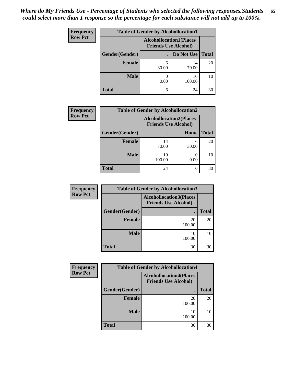| <b>Frequency</b> | <b>Table of Gender by Alcohollocation1</b> |                                                               |              |              |  |
|------------------|--------------------------------------------|---------------------------------------------------------------|--------------|--------------|--|
| <b>Row Pct</b>   |                                            | <b>Alcohollocation1(Places</b><br><b>Friends Use Alcohol)</b> |              |              |  |
|                  | Gender(Gender)                             |                                                               | Do Not Use   | <b>Total</b> |  |
|                  | <b>Female</b>                              | 6<br>30.00                                                    | 14<br>70.00  | 20           |  |
|                  | <b>Male</b>                                | 0.00                                                          | 10<br>100.00 | 10           |  |
|                  | <b>Total</b>                               | 6                                                             | 24           | 30           |  |

| <b>Frequency</b> | <b>Table of Gender by Alcohollocation2</b> |              |                                                               |              |
|------------------|--------------------------------------------|--------------|---------------------------------------------------------------|--------------|
| <b>Row Pct</b>   |                                            |              | <b>Alcohollocation2(Places</b><br><b>Friends Use Alcohol)</b> |              |
|                  | Gender(Gender)                             |              | Home                                                          | <b>Total</b> |
|                  | Female                                     | 14<br>70.00  | 6<br>30.00                                                    | 20           |
|                  | <b>Male</b>                                | 10<br>100.00 | 0.00                                                          | 10           |
|                  | <b>Total</b>                               | 24           | 6                                                             | 30           |

| <b>Frequency</b> | <b>Table of Gender by Alcohollocation3</b> |                                                               |              |
|------------------|--------------------------------------------|---------------------------------------------------------------|--------------|
| <b>Row Pct</b>   |                                            | <b>Alcohollocation3(Places</b><br><b>Friends Use Alcohol)</b> |              |
|                  | Gender(Gender)                             |                                                               | <b>Total</b> |
|                  | <b>Female</b>                              | 20<br>100.00                                                  | 20           |
|                  | <b>Male</b>                                | 10<br>100.00                                                  | 10           |
|                  | <b>Total</b>                               | 30                                                            | 30           |

| <b>Frequency</b> | <b>Table of Gender by Alcohollocation4</b> |                                                               |              |  |  |
|------------------|--------------------------------------------|---------------------------------------------------------------|--------------|--|--|
| <b>Row Pct</b>   |                                            | <b>Alcohollocation4(Places</b><br><b>Friends Use Alcohol)</b> |              |  |  |
|                  | Gender(Gender)                             |                                                               | <b>Total</b> |  |  |
|                  | <b>Female</b>                              | 20<br>100.00                                                  | 20           |  |  |
|                  | <b>Male</b>                                | 10<br>100.00                                                  | 10           |  |  |
|                  | <b>Total</b>                               | 30                                                            | 30           |  |  |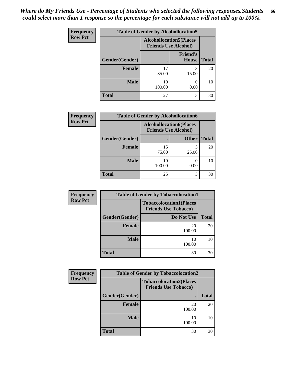| <b>Frequency</b> | <b>Table of Gender by Alcohollocation5</b> |                                                               |                                 |              |  |
|------------------|--------------------------------------------|---------------------------------------------------------------|---------------------------------|--------------|--|
| <b>Row Pct</b>   |                                            | <b>Alcohollocation5(Places</b><br><b>Friends Use Alcohol)</b> |                                 |              |  |
|                  | Gender(Gender)                             |                                                               | <b>Friend's</b><br><b>House</b> | <b>Total</b> |  |
|                  | Female                                     | 17<br>85.00                                                   | 15.00                           | 20           |  |
|                  | <b>Male</b>                                | 10<br>100.00                                                  | ∩<br>0.00                       | 10           |  |
|                  | <b>Total</b>                               | 27                                                            | 3                               | 30           |  |

| <b>Frequency</b> | <b>Table of Gender by Alcohollocation6</b> |                                                               |              |              |
|------------------|--------------------------------------------|---------------------------------------------------------------|--------------|--------------|
| <b>Row Pct</b>   |                                            | <b>Alcohollocation6(Places</b><br><b>Friends Use Alcohol)</b> |              |              |
|                  | Gender(Gender)                             |                                                               | <b>Other</b> | <b>Total</b> |
|                  | <b>Female</b>                              | 15<br>75.00                                                   | 25.00        | 20           |
|                  | <b>Male</b>                                | 10<br>100.00                                                  | 0.00         | 10           |
|                  | <b>Total</b>                               | 25                                                            |              | 30           |

| Frequency      | <b>Table of Gender by Tobaccolocation1</b>                    |              |              |  |  |
|----------------|---------------------------------------------------------------|--------------|--------------|--|--|
| <b>Row Pct</b> | <b>Tobaccolocation1(Places</b><br><b>Friends Use Tobacco)</b> |              |              |  |  |
|                | Gender(Gender)                                                | Do Not Use   | <b>Total</b> |  |  |
|                | <b>Female</b>                                                 | 20<br>100.00 | 20           |  |  |
|                | <b>Male</b>                                                   | 10<br>100.00 | 10           |  |  |
|                | <b>Total</b>                                                  | 30           | 30           |  |  |

| Frequency      | <b>Table of Gender by Tobaccolocation2</b> |                                                               |              |  |
|----------------|--------------------------------------------|---------------------------------------------------------------|--------------|--|
| <b>Row Pct</b> |                                            | <b>Tobaccolocation2(Places</b><br><b>Friends Use Tobacco)</b> |              |  |
|                | Gender(Gender)                             | ٠                                                             | <b>Total</b> |  |
|                | <b>Female</b>                              | 20<br>100.00                                                  | 20           |  |
|                | <b>Male</b>                                | 10<br>100.00                                                  | 10           |  |
|                | <b>Total</b>                               | 30                                                            | 30           |  |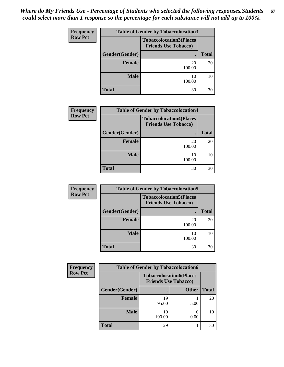| <b>Frequency</b> | <b>Table of Gender by Tobaccolocation3</b>                    |              |              |  |  |
|------------------|---------------------------------------------------------------|--------------|--------------|--|--|
| <b>Row Pct</b>   | <b>Tobaccolocation3(Places</b><br><b>Friends Use Tobacco)</b> |              |              |  |  |
|                  | Gender(Gender)                                                | $\bullet$    | <b>Total</b> |  |  |
|                  | <b>Female</b>                                                 | 20<br>100.00 | 20           |  |  |
|                  | <b>Male</b>                                                   | 10<br>100.00 | 10           |  |  |
|                  | <b>Total</b>                                                  | 30           | 30           |  |  |

| <b>Frequency</b> | <b>Table of Gender by Tobaccolocation4</b> |                                                               |              |  |
|------------------|--------------------------------------------|---------------------------------------------------------------|--------------|--|
| <b>Row Pct</b>   |                                            | <b>Tobaccolocation4(Places</b><br><b>Friends Use Tobacco)</b> |              |  |
|                  | Gender(Gender)                             |                                                               | <b>Total</b> |  |
|                  | <b>Female</b>                              | 20<br>100.00                                                  | 20           |  |
|                  | <b>Male</b>                                | 10<br>100.00                                                  | 10           |  |
|                  | <b>Total</b>                               | 30                                                            | 30           |  |

| Frequency      | <b>Table of Gender by Tobaccolocation5</b> |                                                               |              |  |  |
|----------------|--------------------------------------------|---------------------------------------------------------------|--------------|--|--|
| <b>Row Pct</b> |                                            | <b>Tobaccolocation5(Places</b><br><b>Friends Use Tobacco)</b> |              |  |  |
|                | Gender(Gender)                             | ٠                                                             | <b>Total</b> |  |  |
|                | <b>Female</b>                              | 20<br>100.00                                                  | 20           |  |  |
|                | <b>Male</b>                                | 10<br>100.00                                                  | 10           |  |  |
|                | <b>Total</b>                               | 30                                                            | 30           |  |  |

| <b>Frequency</b> | <b>Table of Gender by Tobaccolocation6</b> |              |                                                               |              |
|------------------|--------------------------------------------|--------------|---------------------------------------------------------------|--------------|
| <b>Row Pct</b>   |                                            |              | <b>Tobaccolocation6(Places</b><br><b>Friends Use Tobacco)</b> |              |
|                  | Gender(Gender)                             |              | <b>Other</b>                                                  | <b>Total</b> |
|                  | <b>Female</b>                              | 19<br>95.00  | 5.00                                                          | 20           |
|                  | <b>Male</b>                                | 10<br>100.00 | 0.00                                                          | 10           |
|                  | <b>Total</b>                               | 29           |                                                               | 30           |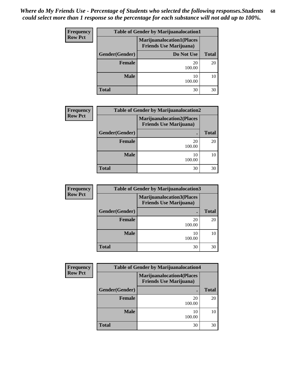| Frequency      | <b>Table of Gender by Marijuanalocation1</b> |                                                                    |              |  |  |
|----------------|----------------------------------------------|--------------------------------------------------------------------|--------------|--|--|
| <b>Row Pct</b> |                                              | <b>Marijuanalocation1(Places</b><br><b>Friends Use Marijuana</b> ) |              |  |  |
|                | Gender(Gender)                               | Do Not Use                                                         | <b>Total</b> |  |  |
|                | Female                                       | 20<br>100.00                                                       | 20           |  |  |
|                | <b>Male</b>                                  | 10<br>100.00                                                       | 10           |  |  |
|                | <b>Total</b>                                 | 30                                                                 | 30           |  |  |

| <b>Frequency</b> | <b>Table of Gender by Marijuanalocation2</b> |                                                                    |              |  |
|------------------|----------------------------------------------|--------------------------------------------------------------------|--------------|--|
| <b>Row Pct</b>   |                                              | <b>Marijuanalocation2(Places</b><br><b>Friends Use Marijuana</b> ) |              |  |
|                  | Gender(Gender)                               | $\bullet$                                                          | <b>Total</b> |  |
|                  | Female                                       | 20<br>100.00                                                       | 20           |  |
|                  | Male                                         | 10<br>100.00                                                       | 10           |  |
|                  | <b>Total</b>                                 | 30                                                                 | 30           |  |

| Frequency      | <b>Table of Gender by Marijuanalocation3</b> |                                                                    |              |  |
|----------------|----------------------------------------------|--------------------------------------------------------------------|--------------|--|
| <b>Row Pct</b> |                                              | <b>Marijuanalocation3(Places</b><br><b>Friends Use Marijuana</b> ) |              |  |
|                | Gender(Gender)                               |                                                                    | <b>Total</b> |  |
|                | <b>Female</b>                                | 20<br>100.00                                                       | 20           |  |
|                | <b>Male</b>                                  | 10<br>100.00                                                       | 10           |  |
|                | <b>Total</b>                                 | 30                                                                 | 30           |  |

| <b>Frequency</b> | <b>Table of Gender by Marijuanalocation4</b>                        |              |              |  |
|------------------|---------------------------------------------------------------------|--------------|--------------|--|
| <b>Row Pct</b>   | <b>Marijuanalocation4(Places)</b><br><b>Friends Use Marijuana</b> ) |              |              |  |
|                  | Gender(Gender)                                                      |              | <b>Total</b> |  |
|                  | <b>Female</b>                                                       | 20<br>100.00 | 20           |  |
|                  | <b>Male</b>                                                         | 10<br>100.00 | 10           |  |
|                  | <b>Total</b>                                                        | 30           | 30           |  |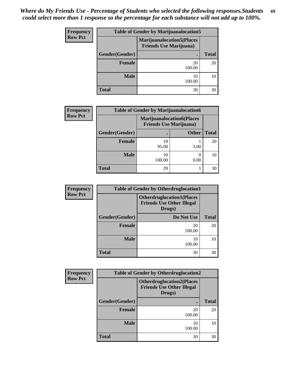| <b>Frequency</b> | <b>Table of Gender by Marijuanalocation5</b> |                                                                     |              |  |
|------------------|----------------------------------------------|---------------------------------------------------------------------|--------------|--|
| <b>Row Pct</b>   |                                              | <b>Marijuanalocation5</b> (Places<br><b>Friends Use Marijuana</b> ) |              |  |
|                  | Gender(Gender)                               |                                                                     | <b>Total</b> |  |
|                  | Female                                       | 20<br>100.00                                                        | 20           |  |
|                  | <b>Male</b>                                  | 10<br>100.00                                                        | 10           |  |
|                  | <b>Total</b>                                 | 30                                                                  | 30           |  |

| <b>Frequency</b> | <b>Table of Gender by Marijuanalocation6</b> |                                                                    |              |              |
|------------------|----------------------------------------------|--------------------------------------------------------------------|--------------|--------------|
| <b>Row Pct</b>   |                                              | <b>Marijuanalocation6(Places</b><br><b>Friends Use Marijuana</b> ) |              |              |
|                  | Gender(Gender)                               |                                                                    | <b>Other</b> | <b>Total</b> |
|                  | Female                                       | 19<br>95.00                                                        | 5.00         | 20           |
|                  | <b>Male</b>                                  | 10<br>100.00                                                       | 0.00         | 10           |
|                  | <b>Total</b>                                 | 29                                                                 |              | 30           |

| Frequency      | <b>Table of Gender by Otherdruglocation1</b> |                                                                                |              |  |  |
|----------------|----------------------------------------------|--------------------------------------------------------------------------------|--------------|--|--|
| <b>Row Pct</b> |                                              | <b>Otherdruglocation1(Places</b><br><b>Friends Use Other Illegal</b><br>Drugs) |              |  |  |
|                | Gender(Gender)                               | Do Not Use                                                                     | <b>Total</b> |  |  |
|                | Female                                       | 20<br>100.00                                                                   | 20           |  |  |
|                | <b>Male</b>                                  | 10<br>100.00                                                                   | 10           |  |  |
|                | <b>Total</b>                                 | 30                                                                             | 30           |  |  |

| <b>Frequency</b> | <b>Table of Gender by Otherdruglocation2</b> |                                                                                |              |  |  |
|------------------|----------------------------------------------|--------------------------------------------------------------------------------|--------------|--|--|
| <b>Row Pct</b>   |                                              | <b>Otherdruglocation2(Places</b><br><b>Friends Use Other Illegal</b><br>Drugs) |              |  |  |
|                  | Gender(Gender)                               |                                                                                | <b>Total</b> |  |  |
|                  | <b>Female</b>                                | 20<br>100.00                                                                   | 20           |  |  |
|                  | <b>Male</b>                                  | 10<br>100.00                                                                   | 10           |  |  |
|                  | <b>Total</b>                                 | 30                                                                             | 30           |  |  |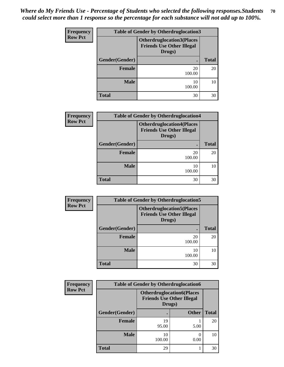| <b>Frequency</b> | <b>Table of Gender by Otherdruglocation3</b>                                   |              |              |  |
|------------------|--------------------------------------------------------------------------------|--------------|--------------|--|
| <b>Row Pct</b>   | <b>Otherdruglocation3(Places</b><br><b>Friends Use Other Illegal</b><br>Drugs) |              |              |  |
|                  | Gender(Gender)                                                                 | ٠            | <b>Total</b> |  |
|                  | Female                                                                         | 20<br>100.00 | 20           |  |
|                  | <b>Male</b>                                                                    | 10<br>100.00 | 10           |  |
|                  | <b>Total</b>                                                                   | 30           | 30           |  |

| Frequency      | <b>Table of Gender by Otherdruglocation4</b> |                                                                                |              |  |  |
|----------------|----------------------------------------------|--------------------------------------------------------------------------------|--------------|--|--|
| <b>Row Pct</b> |                                              | <b>Otherdruglocation4(Places</b><br><b>Friends Use Other Illegal</b><br>Drugs) |              |  |  |
|                | Gender(Gender)                               |                                                                                | <b>Total</b> |  |  |
|                | <b>Female</b>                                | 20<br>100.00                                                                   | 20           |  |  |
|                | <b>Male</b>                                  | 10<br>100.00                                                                   | 10           |  |  |
|                | <b>Total</b>                                 | 30                                                                             | 30           |  |  |

| Frequency      | <b>Table of Gender by Otherdruglocation5</b> |                                                                                 |              |  |  |
|----------------|----------------------------------------------|---------------------------------------------------------------------------------|--------------|--|--|
| <b>Row Pct</b> |                                              | <b>Otherdruglocation5(Places)</b><br><b>Friends Use Other Illegal</b><br>Drugs) |              |  |  |
|                | Gender(Gender)                               |                                                                                 | <b>Total</b> |  |  |
|                | Female                                       | 20<br>100.00                                                                    | 20           |  |  |
|                | <b>Male</b>                                  | 10<br>100.00                                                                    | 10           |  |  |
|                | <b>Total</b>                                 | 30                                                                              | 30           |  |  |

| Frequency      | <b>Table of Gender by Otherdruglocation6</b> |                                                                                |              |              |  |
|----------------|----------------------------------------------|--------------------------------------------------------------------------------|--------------|--------------|--|
| <b>Row Pct</b> |                                              | <b>Otherdruglocation6(Places</b><br><b>Friends Use Other Illegal</b><br>Drugs) |              |              |  |
|                | Gender(Gender)                               |                                                                                | <b>Other</b> | <b>Total</b> |  |
|                | <b>Female</b>                                | 19<br>95.00                                                                    | 5.00         | 20           |  |
|                | <b>Male</b>                                  | 10<br>100.00                                                                   | 0.00         | 10           |  |
|                | <b>Total</b>                                 | 29                                                                             |              | 30           |  |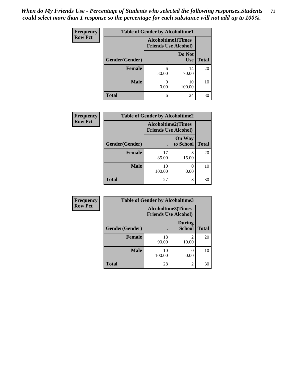*When do My Friends Use - Percentage of Students who selected the following responses.Students could select more than 1 response so the percentage for each substance will not add up to 100%.* **71**

| Frequency      | <b>Table of Gender by Alcoholtime1</b>                   |            |                      |              |
|----------------|----------------------------------------------------------|------------|----------------------|--------------|
| <b>Row Pct</b> | <b>Alcoholtime1(Times</b><br><b>Friends Use Alcohol)</b> |            |                      |              |
|                | Gender(Gender)                                           |            | Do Not<br><b>Use</b> | <b>Total</b> |
|                | <b>Female</b>                                            | 6<br>30.00 | 14<br>70.00          | 20           |
|                | <b>Male</b>                                              | 0.00       | 10<br>100.00         | 10           |
|                | <b>Total</b>                                             | 6          | 24                   | 30           |

| <b>Frequency</b> | <b>Table of Gender by Alcoholtime2</b> |                           |                             |              |
|------------------|----------------------------------------|---------------------------|-----------------------------|--------------|
| <b>Row Pct</b>   |                                        | <b>Alcoholtime2(Times</b> | <b>Friends Use Alcohol)</b> |              |
|                  | Gender(Gender)                         | $\bullet$                 | <b>On Way</b><br>to School  | <b>Total</b> |
|                  | <b>Female</b>                          | 17<br>85.00               | 3<br>15.00                  | 20           |
|                  | <b>Male</b>                            | 10<br>100.00              | 0.00                        | 10           |
|                  | <b>Total</b>                           | 27                        | 3                           | 30           |

| Frequency      | <b>Table of Gender by Alcoholtime3</b> |                                                          |                                |              |  |
|----------------|----------------------------------------|----------------------------------------------------------|--------------------------------|--------------|--|
| <b>Row Pct</b> |                                        | <b>Alcoholtime3(Times</b><br><b>Friends Use Alcohol)</b> |                                |              |  |
|                | <b>Gender(Gender)</b>                  |                                                          | <b>During</b><br><b>School</b> | <b>Total</b> |  |
|                | Female                                 | 18<br>90.00                                              | 2<br>10.00                     | 20           |  |
|                | <b>Male</b>                            | 10<br>100.00                                             | 0<br>0.00                      | 10           |  |
|                | <b>Total</b>                           | 28                                                       | 2                              | 30           |  |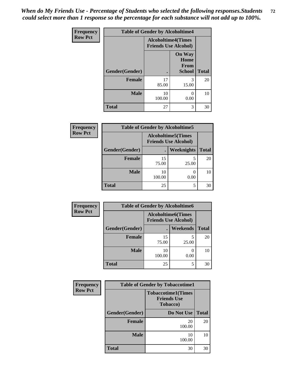*When do My Friends Use - Percentage of Students who selected the following responses.Students could select more than 1 response so the percentage for each substance will not add up to 100%.* **72**

| <b>Frequency</b> | <b>Table of Gender by Alcoholtime4</b> |                                                          |                                                |              |
|------------------|----------------------------------------|----------------------------------------------------------|------------------------------------------------|--------------|
| <b>Row Pct</b>   |                                        | <b>Alcoholtime4(Times</b><br><b>Friends Use Alcohol)</b> |                                                |              |
|                  | Gender(Gender)                         | $\bullet$                                                | <b>On Way</b><br>Home<br>From<br><b>School</b> | <b>Total</b> |
|                  | <b>Female</b>                          | 17<br>85.00                                              | 3<br>15.00                                     | 20           |
|                  | <b>Male</b>                            | 10<br>100.00                                             | $\mathcal{O}$<br>0.00                          | 10           |
|                  | <b>Total</b>                           | 27                                                       | 3                                              | 30           |

| <b>Frequency</b> | <b>Table of Gender by Alcoholtime5</b> |                                                           |                   |              |  |
|------------------|----------------------------------------|-----------------------------------------------------------|-------------------|--------------|--|
| <b>Row Pct</b>   |                                        | <b>Alcoholtime5</b> (Times<br><b>Friends Use Alcohol)</b> |                   |              |  |
|                  | Gender(Gender)                         |                                                           | <b>Weeknights</b> | <b>Total</b> |  |
|                  | <b>Female</b>                          | 15<br>75.00                                               | 5<br>25.00        | 20           |  |
|                  | <b>Male</b>                            | 10<br>100.00                                              | 0.00              | 10           |  |
|                  | <b>Total</b>                           | 25                                                        | 5                 | 30           |  |

| <b>Frequency</b> | <b>Table of Gender by Alcoholtime6</b> |                                                           |          |              |  |
|------------------|----------------------------------------|-----------------------------------------------------------|----------|--------------|--|
| <b>Row Pct</b>   |                                        | <b>Alcoholtime6</b> (Times<br><b>Friends Use Alcohol)</b> |          |              |  |
|                  | Gender(Gender)                         |                                                           | Weekends | <b>Total</b> |  |
|                  | Female                                 | 15<br>75.00                                               | 25.00    | 20           |  |
|                  | <b>Male</b>                            | 10<br>100.00                                              | 0.00     | 10           |  |
|                  | <b>Total</b>                           | 25                                                        | 5        | 30           |  |

| Frequency      | <b>Table of Gender by Tobaccotime1</b> |                                                                     |              |  |
|----------------|----------------------------------------|---------------------------------------------------------------------|--------------|--|
| <b>Row Pct</b> |                                        | <b>Tobaccotime1(Times</b><br><b>Friends Use</b><br><b>Tobacco</b> ) |              |  |
|                | Gender(Gender)                         | Do Not Use                                                          | <b>Total</b> |  |
|                | <b>Female</b>                          | 20<br>100.00                                                        | 20           |  |
|                | <b>Male</b>                            | 10<br>100.00                                                        | 10           |  |
|                | <b>Total</b>                           | 30                                                                  | 30           |  |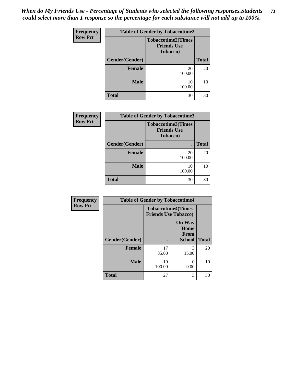*When do My Friends Use - Percentage of Students who selected the following responses.Students could select more than 1 response so the percentage for each substance will not add up to 100%.* **73**

| Frequency      | <b>Table of Gender by Tobaccotime2</b> |                                                                     |              |
|----------------|----------------------------------------|---------------------------------------------------------------------|--------------|
| <b>Row Pct</b> |                                        | <b>Tobaccotime2(Times</b><br><b>Friends Use</b><br><b>Tobacco</b> ) |              |
|                | Gender(Gender)                         |                                                                     | <b>Total</b> |
|                | <b>Female</b>                          | 20<br>100.00                                                        | 20           |
|                | <b>Male</b>                            | 10<br>100.00                                                        | 10           |
|                | <b>Total</b>                           | 30                                                                  | 30           |

| <b>Frequency</b> |                | <b>Table of Gender by Tobaccotime3</b>                              |              |
|------------------|----------------|---------------------------------------------------------------------|--------------|
| <b>Row Pct</b>   |                | <b>Tobaccotime3(Times</b><br><b>Friends Use</b><br><b>Tobacco</b> ) |              |
|                  | Gender(Gender) |                                                                     | <b>Total</b> |
|                  | <b>Female</b>  | 20<br>100.00                                                        | 20           |
|                  | <b>Male</b>    | 10<br>100.00                                                        | 10           |
|                  | <b>Total</b>   | 30                                                                  | 30           |

| <b>Frequency</b> | <b>Table of Gender by Tobaccotime4</b> |                                                          |                                                |              |
|------------------|----------------------------------------|----------------------------------------------------------|------------------------------------------------|--------------|
| <b>Row Pct</b>   |                                        | <b>Tobaccotime4(Times</b><br><b>Friends Use Tobacco)</b> |                                                |              |
|                  | Gender(Gender)                         |                                                          | <b>On Way</b><br>Home<br>From<br><b>School</b> | <b>Total</b> |
|                  | <b>Female</b>                          | 17<br>85.00                                              | 3<br>15.00                                     | 20           |
|                  | <b>Male</b>                            | 10<br>100.00                                             | 0.00                                           | 10           |
|                  | <b>Total</b>                           | 27                                                       | 3                                              | 30           |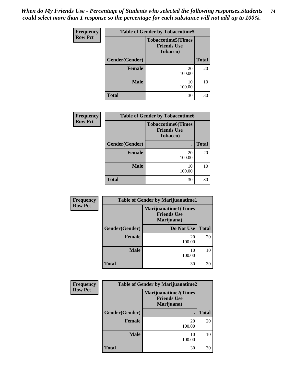*When do My Friends Use - Percentage of Students who selected the following responses.Students could select more than 1 response so the percentage for each substance will not add up to 100%.* **74**

| <b>Frequency</b> | <b>Table of Gender by Tobaccotime5</b> |                                                              |              |
|------------------|----------------------------------------|--------------------------------------------------------------|--------------|
| <b>Row Pct</b>   |                                        | <b>Tobaccotime5</b> (Times<br><b>Friends Use</b><br>Tobacco) |              |
|                  | Gender(Gender)                         |                                                              | <b>Total</b> |
|                  | <b>Female</b>                          | 20<br>100.00                                                 | 20           |
|                  | <b>Male</b>                            | 10<br>100.00                                                 | 10           |
|                  | <b>Total</b>                           | 30                                                           | 30           |

| Frequency      | <b>Table of Gender by Tobaccotime6</b> |                                                             |              |
|----------------|----------------------------------------|-------------------------------------------------------------|--------------|
| <b>Row Pct</b> |                                        | <b>Tobaccotime6(Times</b><br><b>Friends Use</b><br>Tobacco) |              |
|                | Gender(Gender)                         | ٠                                                           | <b>Total</b> |
|                | <b>Female</b>                          | 20<br>100.00                                                | 20           |
|                | <b>Male</b>                            | 10<br>100.00                                                | 10           |
|                | <b>Total</b>                           | 30                                                          | 30           |

| Frequency      | <b>Table of Gender by Marijuanatime1</b> |                                                                 |              |
|----------------|------------------------------------------|-----------------------------------------------------------------|--------------|
| <b>Row Pct</b> |                                          | <b>Marijuanatime1(Times</b><br><b>Friends Use</b><br>Marijuana) |              |
|                | Gender(Gender)                           | Do Not Use                                                      | <b>Total</b> |
|                | <b>Female</b>                            | 20<br>100.00                                                    | 20           |
|                | <b>Male</b>                              | 10<br>100.00                                                    | 10           |
|                | <b>Total</b>                             | 30                                                              | 30           |

| <b>Frequency</b> | <b>Table of Gender by Marijuanatime2</b> |                                                                 |              |
|------------------|------------------------------------------|-----------------------------------------------------------------|--------------|
| <b>Row Pct</b>   |                                          | <b>Marijuanatime2(Times</b><br><b>Friends Use</b><br>Marijuana) |              |
|                  | Gender(Gender)                           | ٠                                                               | <b>Total</b> |
|                  | <b>Female</b>                            | 20<br>100.00                                                    | 20           |
|                  | <b>Male</b>                              | 10<br>100.00                                                    | 10           |
|                  | <b>Total</b>                             | 30                                                              | 30           |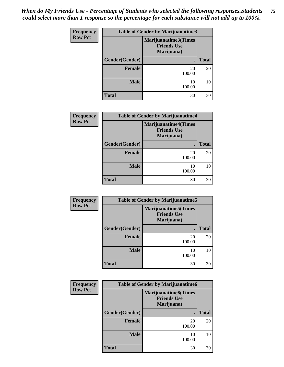## *When do My Friends Use - Percentage of Students who selected the following responses.Students could select more than 1 response so the percentage for each substance will not add up to 100%.* **75**

| Frequency      | <b>Table of Gender by Marijuanatime3</b> |                                                          |              |  |
|----------------|------------------------------------------|----------------------------------------------------------|--------------|--|
| <b>Row Pct</b> |                                          | Marijuanatime3(Times<br><b>Friends Use</b><br>Marijuana) |              |  |
|                | Gender(Gender)                           | $\bullet$                                                | <b>Total</b> |  |
|                | <b>Female</b>                            | 20<br>100.00                                             | 20           |  |
|                | <b>Male</b>                              | 10<br>100.00                                             | 10           |  |
|                | <b>Total</b>                             | 30                                                       | 30           |  |

| Frequency      | <b>Table of Gender by Marijuanatime4</b> |                                                                 |              |
|----------------|------------------------------------------|-----------------------------------------------------------------|--------------|
| <b>Row Pct</b> |                                          | <b>Marijuanatime4(Times</b><br><b>Friends Use</b><br>Marijuana) |              |
|                | Gender(Gender)                           |                                                                 | <b>Total</b> |
|                | Female                                   | 20<br>100.00                                                    | 20           |
|                | <b>Male</b>                              | 10<br>100.00                                                    | 10           |
|                | <b>Total</b>                             | 30                                                              | 30           |

| Frequency      | <b>Table of Gender by Marijuanatime5</b> |                                                                  |              |  |
|----------------|------------------------------------------|------------------------------------------------------------------|--------------|--|
| <b>Row Pct</b> |                                          | <b>Marijuanatime5</b> (Times<br><b>Friends Use</b><br>Marijuana) |              |  |
|                | Gender(Gender)                           | $\bullet$                                                        | <b>Total</b> |  |
|                | <b>Female</b>                            | 20<br>100.00                                                     | 20           |  |
|                | <b>Male</b>                              | 10<br>100.00                                                     | 10           |  |
|                | <b>Total</b>                             | 30                                                               | 30           |  |

| <b>Frequency</b> | <b>Table of Gender by Marijuanatime6</b> |                                                                 |              |
|------------------|------------------------------------------|-----------------------------------------------------------------|--------------|
| <b>Row Pct</b>   |                                          | <b>Marijuanatime6(Times</b><br><b>Friends Use</b><br>Marijuana) |              |
|                  | Gender(Gender)                           | ٠                                                               | <b>Total</b> |
|                  | <b>Female</b>                            | 20<br>100.00                                                    | 20           |
|                  | <b>Male</b>                              | 10<br>100.00                                                    | 10           |
|                  | <b>Total</b>                             | 30                                                              | 30           |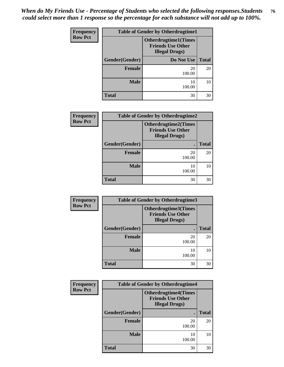## *When do My Friends Use - Percentage of Students who selected the following responses.Students could select more than 1 response so the percentage for each substance will not add up to 100%.* **76**

| <b>Frequency</b> | <b>Table of Gender by Otherdrugtime1</b> |                                                                                   |              |
|------------------|------------------------------------------|-----------------------------------------------------------------------------------|--------------|
| <b>Row Pct</b>   |                                          | <b>Otherdrugtime1(Times</b><br><b>Friends Use Other</b><br><b>Illegal Drugs</b> ) |              |
|                  | Gender(Gender)                           | Do Not Use                                                                        | <b>Total</b> |
|                  | <b>Female</b>                            | 20<br>100.00                                                                      | 20           |
|                  | <b>Male</b>                              | 10<br>100.00                                                                      | 10           |
|                  | <b>Total</b>                             | 30                                                                                | 30           |

| Frequency      | <b>Table of Gender by Otherdrugtime2</b> |                                                                                   |              |  |  |
|----------------|------------------------------------------|-----------------------------------------------------------------------------------|--------------|--|--|
| <b>Row Pct</b> |                                          | <b>Otherdrugtime2(Times</b><br><b>Friends Use Other</b><br><b>Illegal Drugs</b> ) |              |  |  |
|                | Gender(Gender)                           |                                                                                   | <b>Total</b> |  |  |
|                | <b>Female</b>                            | 20<br>100.00                                                                      | 20           |  |  |
|                | <b>Male</b>                              | 10<br>100.00                                                                      | 10           |  |  |
|                | <b>Total</b>                             | 30                                                                                | 30           |  |  |

| Frequency      | <b>Table of Gender by Otherdrugtime3</b> |                                                                                   |              |  |  |
|----------------|------------------------------------------|-----------------------------------------------------------------------------------|--------------|--|--|
| <b>Row Pct</b> |                                          | <b>Otherdrugtime3(Times</b><br><b>Friends Use Other</b><br><b>Illegal Drugs</b> ) |              |  |  |
|                | Gender(Gender)                           | $\blacksquare$                                                                    | <b>Total</b> |  |  |
|                | <b>Female</b>                            | 20<br>100.00                                                                      | 20           |  |  |
|                | <b>Male</b>                              | 10<br>100.00                                                                      | 10           |  |  |
|                | <b>Total</b>                             | 30                                                                                | 30           |  |  |

| Frequency      | <b>Table of Gender by Otherdrugtime4</b> |                                                                                  |              |  |  |
|----------------|------------------------------------------|----------------------------------------------------------------------------------|--------------|--|--|
| <b>Row Pct</b> |                                          | <b>Otherdrugtime4(Times</b><br><b>Friends Use Other</b><br><b>Illegal Drugs)</b> |              |  |  |
|                | Gender(Gender)                           | ٠                                                                                | <b>Total</b> |  |  |
|                | <b>Female</b>                            | 20<br>100.00                                                                     | 20           |  |  |
|                | <b>Male</b>                              | 10<br>100.00                                                                     | 10           |  |  |
|                | <b>Total</b>                             | 30                                                                               | 30           |  |  |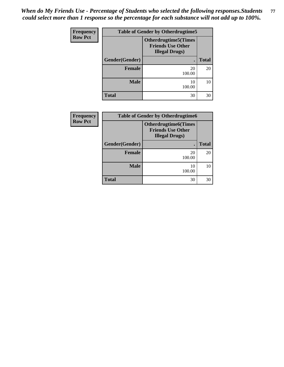## *When do My Friends Use - Percentage of Students who selected the following responses.Students could select more than 1 response so the percentage for each substance will not add up to 100%.* **77**

| Frequency      | <b>Table of Gender by Otherdrugtime5</b> |                                                                                   |              |  |  |
|----------------|------------------------------------------|-----------------------------------------------------------------------------------|--------------|--|--|
| <b>Row Pct</b> |                                          | <b>Otherdrugtime5(Times</b><br><b>Friends Use Other</b><br><b>Illegal Drugs</b> ) |              |  |  |
|                | Gender(Gender)                           | $\bullet$                                                                         | <b>Total</b> |  |  |
|                | <b>Female</b>                            | 20<br>100.00                                                                      | 20           |  |  |
|                | <b>Male</b>                              | 10<br>100.00                                                                      | 10           |  |  |
|                | <b>Total</b>                             | 30                                                                                | 30           |  |  |

| <b>Frequency</b> | <b>Table of Gender by Otherdrugtime6</b> |                                                                                    |              |  |  |
|------------------|------------------------------------------|------------------------------------------------------------------------------------|--------------|--|--|
| <b>Row Pct</b>   |                                          | <b>Otherdrugtime6</b> (Times<br><b>Friends Use Other</b><br><b>Illegal Drugs</b> ) |              |  |  |
|                  | Gender(Gender)                           |                                                                                    | <b>Total</b> |  |  |
|                  | <b>Female</b>                            | 20<br>100.00                                                                       | 20           |  |  |
|                  | <b>Male</b>                              | 10<br>100.00                                                                       | 10           |  |  |
|                  | <b>Total</b>                             | 30                                                                                 | 30           |  |  |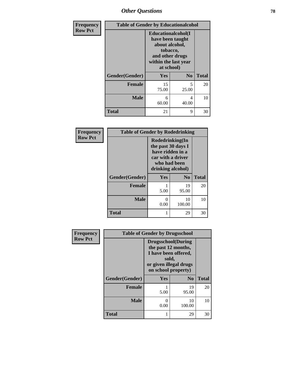## *Other Questions* **78**

| Frequency      | <b>Table of Gender by Educationalcohol</b> |                                                                                                                                       |                |              |
|----------------|--------------------------------------------|---------------------------------------------------------------------------------------------------------------------------------------|----------------|--------------|
| <b>Row Pct</b> |                                            | <b>Educationalcohol</b> (I<br>have been taught<br>about alcohol,<br>tobacco,<br>and other drugs<br>within the last year<br>at school) |                |              |
|                | Gender(Gender)                             | Yes                                                                                                                                   | N <sub>0</sub> | <b>Total</b> |
|                | <b>Female</b>                              | 15<br>75.00                                                                                                                           | 5<br>25.00     | 20           |
|                | <b>Male</b>                                | 6<br>60.00                                                                                                                            | 4<br>40.00     | 10           |
|                | <b>Total</b>                               | 21                                                                                                                                    | 9              | 30           |

| Frequency      | <b>Table of Gender by Rodedrinking</b> |                                                                                                                     |                |              |
|----------------|----------------------------------------|---------------------------------------------------------------------------------------------------------------------|----------------|--------------|
| <b>Row Pct</b> |                                        | Rodedrinking(In<br>the past 30 days I<br>have ridden in a<br>car with a driver<br>who had been<br>drinking alcohol) |                |              |
|                | Gender(Gender)                         | Yes                                                                                                                 | N <sub>0</sub> | <b>Total</b> |
|                | <b>Female</b>                          | 5.00                                                                                                                | 19<br>95.00    | 20           |
|                | <b>Male</b>                            | 0.00                                                                                                                | 10<br>100.00   | 10           |
|                | <b>Total</b>                           |                                                                                                                     | 29             | 30           |

| Frequency      | <b>Table of Gender by Drugsschool</b> |                                                                                                                                     |                |              |  |
|----------------|---------------------------------------|-------------------------------------------------------------------------------------------------------------------------------------|----------------|--------------|--|
| <b>Row Pct</b> |                                       | <b>Drugsschool</b> (During<br>the past 12 months,<br>I have been offered,<br>sold,<br>or given illegal drugs<br>on school property) |                |              |  |
|                | Gender(Gender)                        | Yes                                                                                                                                 | N <sub>0</sub> | <b>Total</b> |  |
|                | <b>Female</b>                         | 5.00                                                                                                                                | 19<br>95.00    | 20           |  |
|                | <b>Male</b>                           | 0.00                                                                                                                                | 10<br>100.00   | 10           |  |
|                | <b>Total</b>                          | 1                                                                                                                                   | 29             | 30           |  |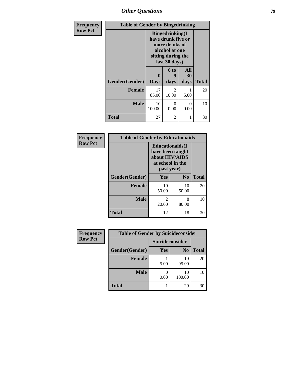*Other Questions* **79**

| <b>Frequency</b> | <b>Table of Gender by Bingedrinking</b> |                                                                                                                          |                         |                   |              |
|------------------|-----------------------------------------|--------------------------------------------------------------------------------------------------------------------------|-------------------------|-------------------|--------------|
| <b>Row Pct</b>   |                                         | <b>Bingedrinking</b> (I<br>have drunk five or<br>more drinks of<br>alcohol at one<br>sitting during the<br>last 30 days) |                         |                   |              |
|                  | Gender(Gender)                          | 0<br><b>Days</b>                                                                                                         | 6 to<br>q<br>days       | All<br>30<br>days | <b>Total</b> |
|                  | <b>Female</b>                           | 17<br>85.00                                                                                                              | $\mathfrak{D}$<br>10.00 | 5.00              | 20           |
|                  | <b>Male</b>                             | 10<br>100.00                                                                                                             | 0<br>0.00               | 0<br>0.00         | 10           |
|                  | <b>Total</b>                            | 27                                                                                                                       | $\overline{c}$          | 1                 | 30           |

| Frequency      | <b>Table of Gender by Educationaids</b> |                                                                                                 |             |              |  |
|----------------|-----------------------------------------|-------------------------------------------------------------------------------------------------|-------------|--------------|--|
| <b>Row Pct</b> |                                         | <b>Educationaids</b> (I<br>have been taught<br>about HIV/AIDS<br>at school in the<br>past year) |             |              |  |
|                | Gender(Gender)                          | Yes                                                                                             | $\bf N_0$   | <b>Total</b> |  |
|                | <b>Female</b>                           | 10<br>50.00                                                                                     | 10<br>50.00 | 20           |  |
|                | <b>Male</b>                             | 2<br>20.00                                                                                      | 8<br>80.00  | 10           |  |
|                | <b>Total</b>                            | 12                                                                                              | 18          | 30           |  |

| <b>Frequency</b> | <b>Table of Gender by Suicideconsider</b> |                 |                |              |
|------------------|-------------------------------------------|-----------------|----------------|--------------|
| <b>Row Pct</b>   |                                           | Suicideconsider |                |              |
|                  | Gender(Gender)                            | Yes             | N <sub>0</sub> | <b>Total</b> |
|                  | <b>Female</b>                             | 5.00            | 19<br>95.00    | 20           |
|                  | <b>Male</b>                               | 0.00            | 10<br>100.00   | 10           |
|                  | <b>Total</b>                              |                 | 29             | 30           |